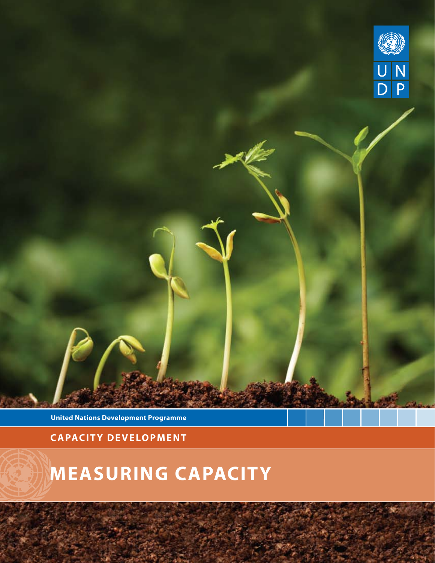

**United Nations Development Programme**

**capacity development**

# **Measuring capacity**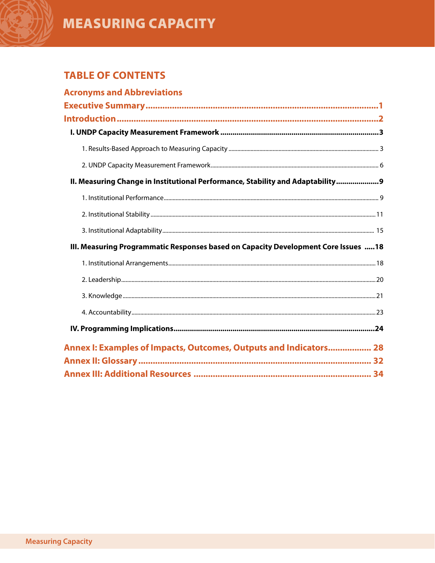## **MEASURING CAPACITY**

## **TABLE OF CONTENTS**

| <b>Acronyms and Abbreviations</b>                                                  |  |
|------------------------------------------------------------------------------------|--|
|                                                                                    |  |
|                                                                                    |  |
|                                                                                    |  |
|                                                                                    |  |
|                                                                                    |  |
| II. Measuring Change in Institutional Performance, Stability and Adaptability 9    |  |
|                                                                                    |  |
|                                                                                    |  |
|                                                                                    |  |
| III. Measuring Programmatic Responses based on Capacity Development Core Issues 18 |  |
|                                                                                    |  |
|                                                                                    |  |
|                                                                                    |  |
|                                                                                    |  |
|                                                                                    |  |
| Annex I: Examples of Impacts, Outcomes, Outputs and Indicators 28                  |  |
|                                                                                    |  |
|                                                                                    |  |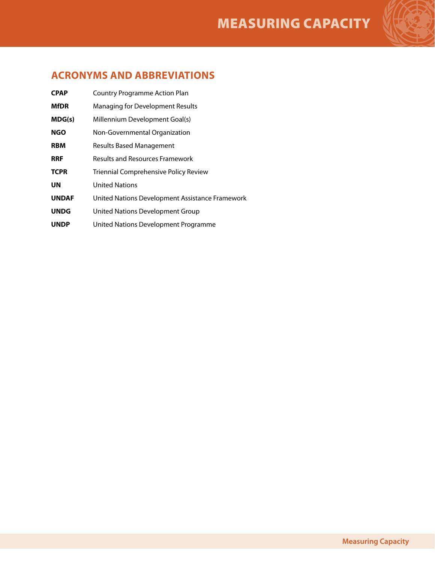

**CPAP** Country Programme Action Plan **MfDR** Managing for Development Results **MDG(s)** Millennium Development Goal(s) **NGO** Non-Governmental Organization **RBM** Results Based Management **RRF** Results and Resources Framework **TCPR** Triennial Comprehensive Policy Review **UN** United Nations **UNDAF** United Nations Development Assistance Framework **UNDG** United Nations Development Group **UNDP** United Nations Development Programme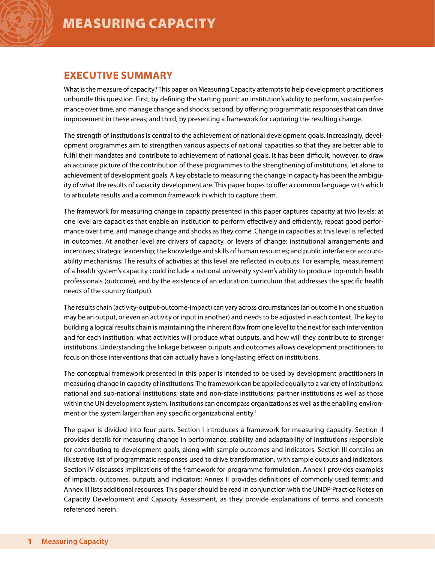## **Executive Summary**

What is the measure of capacity? This paper on Measuring Capacity attempts to help development practitioners unbundle this question. First, by defining the starting point: an institution's ability to perform, sustain performance over time, and manage change and shocks; second, by offering programmatic responses that can drive improvement in these areas; and third, by presenting a framework for capturing the resulting change.

The strength of institutions is central to the achievement of national development goals. Increasingly, development programmes aim to strengthen various aspects of national capacities so that they are better able to fulfil their mandates and contribute to achievement of national goals. It has been difficult, however, to draw an accurate picture of the contribution of these programmes to the strengthening of institutions, let alone to achievement of development goals. A key obstacle to measuring the change in capacity has been the ambiguity of what the results of capacity development are. This paper hopes to offer a common language with which to articulate results and a common framework in which to capture them.

The framework for measuring change in capacity presented in this paper captures capacity at two levels: at one level are capacities that enable an institution to perform effectively and efficiently, repeat good performance over time, and manage change and shocks as they come. Change in capacities at this level is reflected in outcomes. At another level are drivers of capacity, or levers of change: institutional arrangements and incentives; strategic leadership; the knowledge and skills of human resources; and public interface or accountability mechanisms. The results of activities at this level are reflected in outputs. For example, measurement of a health system's capacity could include a national university system's ability to produce top-notch health professionals (outcome), and by the existence of an education curriculum that addresses the specific health needs of the country (output).

The results chain (activity-output-outcome-impact) can vary across circumstances (an outcome in one situation may be an output, or even an activity or input in another) and needs to be adjusted in each context. The key to building a logical results chain is maintaining the inherent flow from one level to the next for each intervention and for each institution: what activities will produce what outputs, and how will they contribute to stronger institutions. Understanding the linkage between outputs and outcomes allows development practitioners to focus on those interventions that can actually have a long-lasting effect on institutions.

The conceptual framework presented in this paper is intended to be used by development practitioners in measuring change in capacity of institutions. The framework can be applied equally to a variety of institutions: national and sub-national institutions; state and non-state institutions; partner institutions as well as those within the UN development system. Institutions can encompass organizations as well as the enabling environment or the system larger than any specific organizational entity.<sup>1</sup>

The paper is divided into four parts. Section I introduces a framework for measuring capacity. Section II provides details for measuring change in performance, stability and adaptability of institutions responsible for contributing to development goals, along with sample outcomes and indicators. Section III contains an illustrative list of programmatic responses used to drive transformation, with sample outputs and indicators. Section IV discusses implications of the framework for programme formulation. Annex I provides examples of impacts, outcomes, outputs and indicators; Annex II provides definitions of commonly used terms; and Annex III lists additional resources. This paper should be read in conjunction with the UNDP Practice Notes on Capacity Development and Capacity Assessment, as they provide explanations of terms and concepts referenced herein.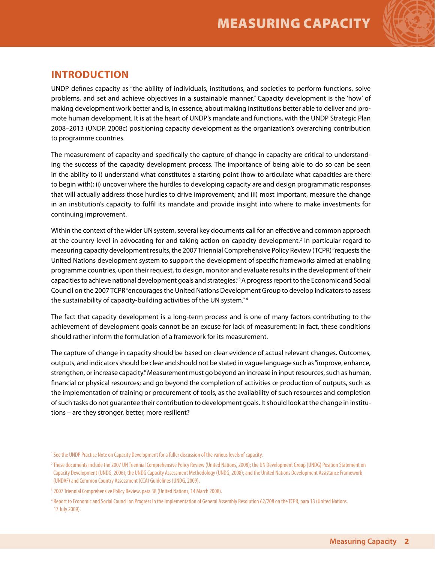

## **INTRODUCTION**

UNDP defines capacity as "the ability of individuals, institutions, and societies to perform functions, solve problems, and set and achieve objectives in a sustainable manner." Capacity development is the 'how' of making development work better and is, in essence, about making institutions better able to deliver and promote human development. It is at the heart of UNDP's mandate and functions, with the UNDP Strategic Plan 2008–2013 (UNDP, 2008c) positioning capacity development as the organization's overarching contribution to programme countries.

The measurement of capacity and specifically the capture of change in capacity are critical to understanding the success of the capacity development process. The importance of being able to do so can be seen in the ability to i) understand what constitutes a starting point (how to articulate what capacities are there to begin with); ii) uncover where the hurdles to developing capacity are and design programmatic responses that will actually address those hurdles to drive improvement; and iii) most important, measure the change in an institution's capacity to fulfil its mandate and provide insight into where to make investments for continuing improvement.

Within the context of the wider UN system, several key documents call for an effective and common approach at the country level in advocating for and taking action on capacity development.<sup>2</sup> In particular regard to measuring capacity development results, the 2007 Triennial Comprehensive Policy Review (TCPR) "requests the United Nations development system to support the development of specific frameworks aimed at enabling programme countries, upon their request, to design, monitor and evaluate results in the development of their capacities to achieve national development goals and strategies."3 A progress report to the Economic and Social Council on the 2007 TCPR "encourages the United Nations Development Group to develop indicators to assess the sustainability of capacity-building activities of the UN system." 4

The fact that capacity development is a long-term process and is one of many factors contributing to the achievement of development goals cannot be an excuse for lack of measurement; in fact, these conditions should rather inform the formulation of a framework for its measurement.

The capture of change in capacity should be based on clear evidence of actual relevant changes. Outcomes, outputs, and indicators should be clear and should not be stated in vague language such as "improve, enhance, strengthen, or increase capacity." Measurement must go beyond an increase in input resources, such as human, financial or physical resources; and go beyond the completion of activities or production of outputs, such as the implementation of training or procurement of tools, as the availability of such resources and completion of such tasks do not guarantee their contribution to development goals. It should look at the change in institutions – are they stronger, better, more resilient?

<sup>1</sup> See the UNDP Practice Note on Capacity Development for a fuller discussion of the various levels of capacity.

<sup>&</sup>lt;sup>2</sup> These documents include the 2007 UN Triennial Comprehensive Policy Review (United Nations, 2008); the UN Development Group (UNDG) Position Statement on Capacity Development (UNDG, 2006); the UNDG Capacity Assessment Methodology (UNDG, 2008); and the United Nations Development Assistance Framework (UNDAF) and Common Country Assessment (CCA) Guidelines (UNDG, 2009).

<sup>&</sup>lt;sup>3</sup> 2007 Triennial Comprehensive Policy Review, para 38 (United Nations, 14 March 2008).

<sup>4</sup> Report to Economic and Social Council on Progress in the Implementation of General Assembly Resolution 62/208 on the TCPR, para 13 (United Nations, 17 July 2009).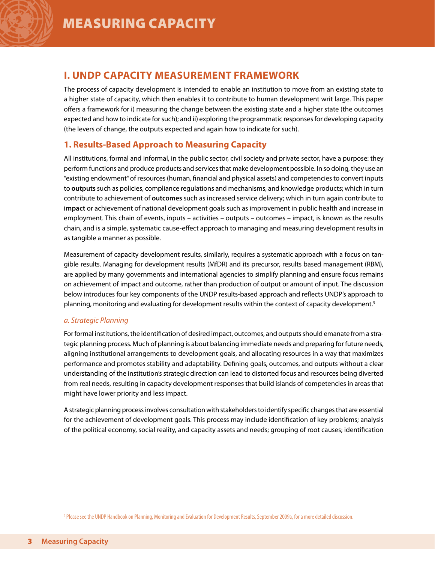## **I. UNDP CAPACITY MEASUREMENT FRAMEWORK**

The process of capacity development is intended to enable an institution to move from an existing state to a higher state of capacity, which then enables it to contribute to human development writ large. This paper offers a framework for i) measuring the change between the existing state and a higher state (the outcomes expected and how to indicate for such); and ii) exploring the programmatic responses for developing capacity (the levers of change, the outputs expected and again how to indicate for such).

### **1. Results-Based Approach to Measuring Capacity**

All institutions, formal and informal, in the public sector, civil society and private sector, have a purpose: they perform functions and produce products and services that make development possible. In so doing, they use an "existing endowment" of resources (human, financial and physical assets) and competencies to convert inputs to **outputs** such as policies, compliance regulations and mechanisms, and knowledge products; which in turn contribute to achievement of **outcomes** such as increased service delivery; which in turn again contribute to **impact** or achievement of national development goals such as improvement in public health and increase in employment. This chain of events, inputs – activities – outputs – outcomes – impact, is known as the results chain, and is a simple, systematic cause-effect approach to managing and measuring development results in as tangible a manner as possible.

Measurement of capacity development results, similarly, requires a systematic approach with a focus on tangible results. Managing for development results (MfDR) and its precursor, results based management (RBM), are applied by many governments and international agencies to simplify planning and ensure focus remains on achievement of impact and outcome, rather than production of output or amount of input. The discussion below introduces four key components of the UNDP results-based approach and reflects UNDP's approach to planning, monitoring and evaluating for development results within the context of capacity development.<sup>5</sup>

#### *a. Strategic Planning*

For formal institutions, the identification of desired impact, outcomes, and outputs should emanate from a strategic planning process. Much of planning is about balancing immediate needs and preparing for future needs, aligning institutional arrangements to development goals, and allocating resources in a way that maximizes performance and promotes stability and adaptability. Defining goals, outcomes, and outputs without a clear understanding of the institution's strategic direction can lead to distorted focus and resources being diverted from real needs, resulting in capacity development responses that build islands of competencies in areas that might have lower priority and less impact.

A strategic planning process involves consultation with stakeholders to identify specific changes that are essential for the achievement of development goals. This process may include identification of key problems; analysis of the political economy, social reality, and capacity assets and needs; grouping of root causes; identification

<sup>5</sup> Please see the UNDP Handbook on Planning, Monitoring and Evaluation for Development Results, September 2009a, for a more detailed discussion.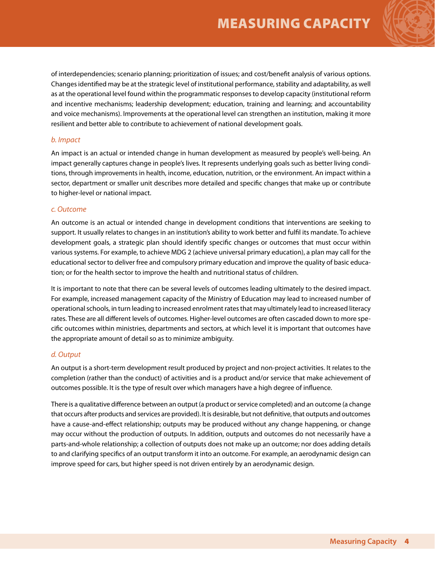of interdependencies; scenario planning; prioritization of issues; and cost/benefit analysis of various options. Changes identified may be at the strategic level of institutional performance, stability and adaptability, as well as at the operational level found within the programmatic responses to develop capacity (institutional reform and incentive mechanisms; leadership development; education, training and learning; and accountability and voice mechanisms). Improvements at the operational level can strengthen an institution, making it more resilient and better able to contribute to achievement of national development goals.

#### *b. Impact*

An impact is an actual or intended change in human development as measured by people's well-being. An impact generally captures change in people's lives. It represents underlying goals such as better living conditions, through improvements in health, income, education, nutrition, or the environment. An impact within a sector, department or smaller unit describes more detailed and specific changes that make up or contribute to higher-level or national impact.

#### *c. Outcome*

An outcome is an actual or intended change in development conditions that interventions are seeking to support. It usually relates to changes in an institution's ability to work better and fulfil its mandate. To achieve development goals, a strategic plan should identify specific changes or outcomes that must occur within various systems. For example, to achieve MDG 2 (achieve universal primary education), a plan may call for the educational sector to deliver free and compulsory primary education and improve the quality of basic education; or for the health sector to improve the health and nutritional status of children.

It is important to note that there can be several levels of outcomes leading ultimately to the desired impact. For example, increased management capacity of the Ministry of Education may lead to increased number of operational schools, in turn leading to increased enrolment rates that may ultimately lead to increased literacy rates. These are all different levels of outcomes. Higher-level outcomes are often cascaded down to more specific outcomes within ministries, departments and sectors, at which level it is important that outcomes have the appropriate amount of detail so as to minimize ambiguity.

#### *d. Output*

An output is a short-term development result produced by project and non-project activities. It relates to the completion (rather than the conduct) of activities and is a product and/or service that make achievement of outcomes possible. It is the type of result over which managers have a high degree of influence.

There is a qualitative difference between an output (a product or service completed) and an outcome (a change that occurs after products and services are provided). It is desirable, but not definitive, that outputs and outcomes have a cause-and-effect relationship; outputs may be produced without any change happening, or change may occur without the production of outputs. In addition, outputs and outcomes do not necessarily have a parts-and-whole relationship; a collection of outputs does not make up an outcome; nor does adding details to and clarifying specifics of an output transform it into an outcome. For example, an aerodynamic design can improve speed for cars, but higher speed is not driven entirely by an aerodynamic design.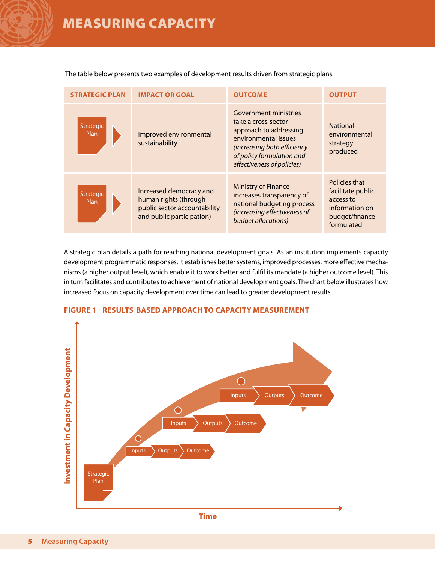The table below presents two examples of development results driven from strategic plans.

| <b>STRATEGIC PLAN</b>    | <b>IMPACT OR GOAL</b>                                                                                         | <b>OUTCOME</b>                                                                                                                                                                           | <b>OUTPUT</b>                                                                                     |
|--------------------------|---------------------------------------------------------------------------------------------------------------|------------------------------------------------------------------------------------------------------------------------------------------------------------------------------------------|---------------------------------------------------------------------------------------------------|
| <b>Strategic</b><br>Plan | Improved environmental<br>sustainability                                                                      | Government ministries<br>take a cross-sector<br>approach to addressing<br>environmental issues<br>(increasing both efficiency<br>of policy formulation and<br>effectiveness of policies) | <b>National</b><br>environmental<br>strategy<br>produced                                          |
| <b>Strategic</b><br>Plan | Increased democracy and<br>human rights (through<br>public sector accountability<br>and public participation) | <b>Ministry of Finance</b><br>increases transparency of<br>national budgeting process<br>(increasing effectiveness of<br>budget allocations)                                             | Policies that<br>facilitate public<br>access to<br>information on<br>budget/finance<br>formulated |

A strategic plan details a path for reaching national development goals. As an institution implements capacity development programmatic responses, it establishes better systems, improved processes, more effective mechanisms (a higher output level), which enable it to work better and fulfil its mandate (a higher outcome level). This in turn facilitates and contributes to achievement of national development goals. The chart below illustrates how increased focus on capacity development over time can lead to greater development results.



#### **Figure 1 - Results-based approach to capacity measurement**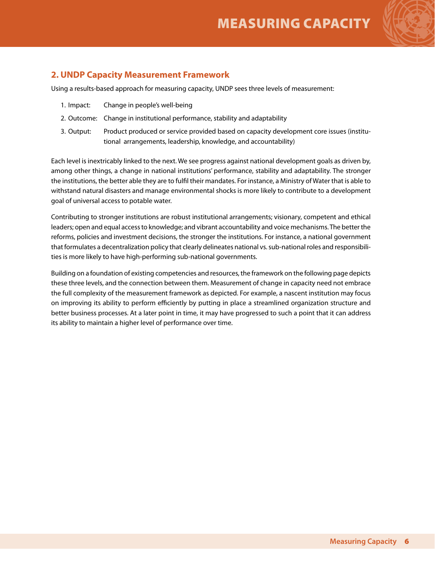

### **2. UNDP Capacity Measurement Framework**

Using a results-based approach for measuring capacity, UNDP sees three levels of measurement:

- 1. Impact: Change in people's well-being
- 2. Outcome: Change in institutional performance, stability and adaptability
- 3. Output: Product produced or service provided based on capacity development core issues (institutional arrangements, leadership, knowledge, and accountability)

Each level is inextricably linked to the next. We see progress against national development goals as driven by, among other things, a change in national institutions' performance, stability and adaptability. The stronger the institutions, the better able they are to fulfil their mandates. For instance, a Ministry of Water that is able to withstand natural disasters and manage environmental shocks is more likely to contribute to a development goal of universal access to potable water.

Contributing to stronger institutions are robust institutional arrangements; visionary, competent and ethical leaders; open and equal access to knowledge; and vibrant accountability and voice mechanisms. The better the reforms, policies and investment decisions, the stronger the institutions. For instance, a national government that formulates a decentralization policy that clearly delineates national vs. sub-national roles and responsibilities is more likely to have high-performing sub-national governments.

Building on a foundation of existing competencies and resources, the framework on the following page depicts these three levels, and the connection between them. Measurement of change in capacity need not embrace the full complexity of the measurement framework as depicted. For example, a nascent institution may focus on improving its ability to perform efficiently by putting in place a streamlined organization structure and better business processes. At a later point in time, it may have progressed to such a point that it can address its ability to maintain a higher level of performance over time.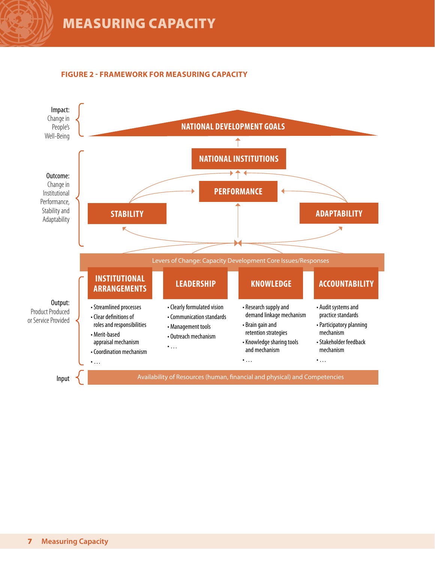

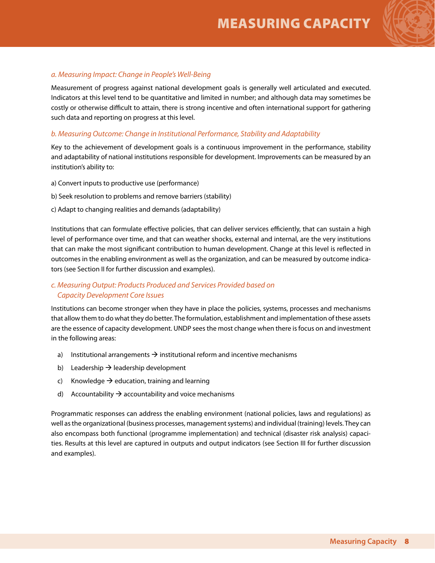

#### *a. Measuring Impact: Change in People's Well-Being*

Measurement of progress against national development goals is generally well articulated and executed. Indicators at this level tend to be quantitative and limited in number; and although data may sometimes be costly or otherwise difficult to attain, there is strong incentive and often international support for gathering such data and reporting on progress at this level.

#### *b. Measuring Outcome: Change in Institutional Performance, Stability and Adaptability*

Key to the achievement of development goals is a continuous improvement in the performance, stability and adaptability of national institutions responsible for development. Improvements can be measured by an institution's ability to:

- a) Convert inputs to productive use (performance)
- b) Seek resolution to problems and remove barriers (stability)
- c) Adapt to changing realities and demands (adaptability)

Institutions that can formulate effective policies, that can deliver services efficiently, that can sustain a high level of performance over time, and that can weather shocks, external and internal, are the very institutions that can make the most significant contribution to human development. Change at this level is reflected in outcomes in the enabling environment as well as the organization, and can be measured by outcome indicators (see Section II for further discussion and examples).

#### *c. Measuring Output: Products Produced and Services Provided based on Capacity Development Core Issues*

Institutions can become stronger when they have in place the policies, systems, processes and mechanisms that allow them to do what they do better. The formulation, establishment and implementation of these assets are the essence of capacity development. UNDP sees the most change when there is focus on and investment in the following areas:

- a) Institutional arrangements  $\rightarrow$  institutional reform and incentive mechanisms
- b) Leadership  $\rightarrow$  leadership development
- c) Knowledge  $\rightarrow$  education, training and learning
- d) Accountability  $\rightarrow$  accountability and voice mechanisms

Programmatic responses can address the enabling environment (national policies, laws and regulations) as well as the organizational (business processes, management systems) and individual (training) levels. They can also encompass both functional (programme implementation) and technical (disaster risk analysis) capacities. Results at this level are captured in outputs and output indicators (see Section III for further discussion and examples).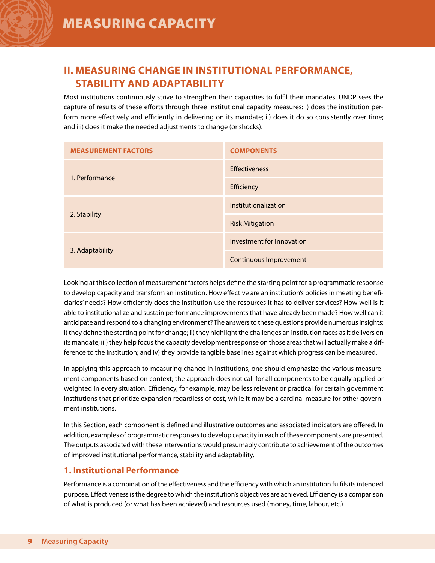

## **II. Measuring Change in Institutional Performance, Stability and Adaptability**

Most institutions continuously strive to strengthen their capacities to fulfil their mandates. UNDP sees the capture of results of these efforts through three institutional capacity measures: i) does the institution perform more effectively and efficiently in delivering on its mandate; ii) does it do so consistently over time; and iii) does it make the needed adjustments to change (or shocks).

| <b>MEASUREMENT FACTORS</b> | <b>COMPONENTS</b>         |
|----------------------------|---------------------------|
| 1. Performance             | <b>Effectiveness</b>      |
|                            | Efficiency                |
|                            | Institutionalization      |
| 2. Stability               | <b>Risk Mitigation</b>    |
|                            | Investment for Innovation |
| 3. Adaptability            | Continuous Improvement    |

Looking at this collection of measurement factors helps define the starting point for a programmatic response to develop capacity and transform an institution. How effective are an institution's policies in meeting beneficiaries' needs? How efficiently does the institution use the resources it has to deliver services? How well is it able to institutionalize and sustain performance improvements that have already been made? How well can it anticipate and respond to a changing environment? The answers to these questions provide numerous insights: i) they define the starting point for change; ii) they highlight the challenges an institution faces as it delivers on its mandate; iii) they help focus the capacity development response on those areas that will actually make a difference to the institution; and iv) they provide tangible baselines against which progress can be measured.

In applying this approach to measuring change in institutions, one should emphasize the various measurement components based on context; the approach does not call for all components to be equally applied or weighted in every situation. Efficiency, for example, may be less relevant or practical for certain government institutions that prioritize expansion regardless of cost, while it may be a cardinal measure for other government institutions.

In this Section, each component is defined and illustrative outcomes and associated indicators are offered. In addition, examples of programmatic responses to develop capacity in each of these components are presented. The outputs associated with these interventions would presumably contribute to achievement of the outcomes of improved institutional performance, stability and adaptability.

### **1. Institutional Performance**

Performance is a combination of the effectiveness and the efficiency with which an institution fulfils its intended purpose. Effectiveness is the degree to which the institution's objectives are achieved. Efficiency is a comparison of what is produced (or what has been achieved) and resources used (money, time, labour, etc.).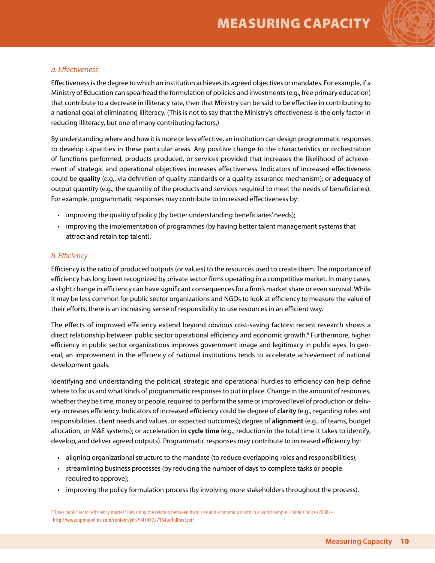

#### *a. Effectiveness*

Effectiveness is the degree to which an institution achieves its agreed objectives or mandates. For example, if a Ministry of Education can spearhead the formulation of policies and investments (e.g., free primary education) that contribute to a decrease in illiteracy rate, then that Ministry can be said to be effective in contributing to a national goal of eliminating illiteracy. (This is not to say that the Ministry's effectiveness is the only factor in reducing illiteracy, but one of many contributing factors.)

By understanding where and how it is more or less effective, an institution can design programmatic responses to develop capacities in these particular areas. Any positive change to the characteristics or orchestration of functions performed, products produced, or services provided that increases the likelihood of achievement of strategic and operational objectives increases effectiveness. Indicators of increased effectiveness could be **quality** (e.g., via definition of quality standards or a quality assurance mechanism); or **adequacy** of output quantity (e.g., the quantity of the products and services required to meet the needs of beneficiaries). For example, programmatic responses may contribute to increased effectiveness by:

- improving the quality of policy (by better understanding beneficiaries' needs);
- • improving the implementation of programmes (by having better talent management systems that attract and retain top talent).

#### *b. Efficiency*

Efficiency is the ratio of produced outputs (or values) to the resources used to create them. The importance of efficiency has long been recognized by private sector firms operating in a competitive market. In many cases, a slight change in efficiency can have significant consequences for a firm's market share or even survival. While it may be less common for public sector organizations and NGOs to look at efficiency to measure the value of their efforts, there is an increasing sense of responsibility to use resources in an efficient way.

The effects of improved efficiency extend beyond obvious cost-saving factors: recent research shows a direct relationship between public sector operational efficiency and economic growth.6 Furthermore, higher efficiency in public sector organizations improves government image and legitimacy in public eyes. In general, an improvement in the efficiency of national institutions tends to accelerate achievement of national development goals.

Identifying and understanding the political, strategic and operational hurdles to efficiency can help define where to focus and what kinds of programmatic responses to put in place. Change in the amount of resources, whether they be time, money or people, required to perform the same or improved level of production or delivery increases efficiency. Indicators of increased efficiency could be degree of **clarity** (e.g., regarding roles and responsibilities, client needs and values, or expected outcomes); degree of **alignment** (e.g., of teams, budget allocation, or M&E systems); or acceleration in **cycle time** (e.g., reduction in the total time it takes to identify, develop, and deliver agreed outputs). Programmatic responses may contribute to increased efficiency by:

- • aligning organizational structure to the mandate (to reduce overlapping roles and responsibilities);
- • streamlining business processes (by reducing the number of days to complete tasks or people required to approve);
- • improving the policy formulation process (by involving more stakeholders throughout the process).

<sup>6</sup>"Does public sector efficiency matter? Revisiting the relation between fiscal size and economic growth in a world sample." Public Choice (2008) http://www.springerlink.com/content/y63704143727164w/fulltext.pdf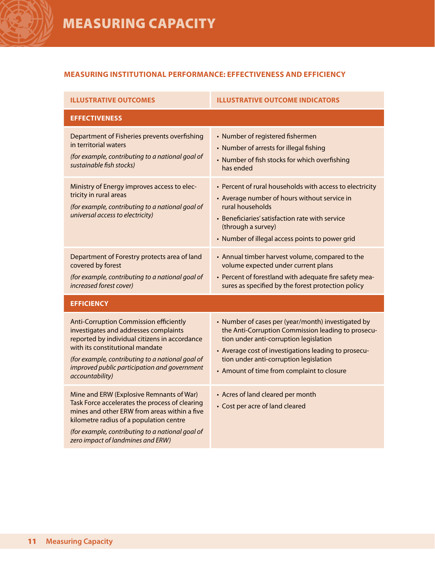#### **Measuring institutional performance: Effectiveness and Efficiency**

| <b>ILLUSTRATIVE OUTCOMES</b>                                                                                                                                                                                                                                                                      | <b>ILLUSTRATIVE OUTCOME INDICATORS</b>                                                                                                                                                                                                                                                             |  |  |
|---------------------------------------------------------------------------------------------------------------------------------------------------------------------------------------------------------------------------------------------------------------------------------------------------|----------------------------------------------------------------------------------------------------------------------------------------------------------------------------------------------------------------------------------------------------------------------------------------------------|--|--|
| <b>EFFECTIVENESS</b>                                                                                                                                                                                                                                                                              |                                                                                                                                                                                                                                                                                                    |  |  |
| Department of Fisheries prevents overfishing<br>in territorial waters<br>(for example, contributing to a national goal of<br>sustainable fish stocks)                                                                                                                                             | • Number of registered fishermen<br>• Number of arrests for illegal fishing<br>• Number of fish stocks for which overfishing<br>has ended                                                                                                                                                          |  |  |
| Ministry of Energy improves access to elec-<br>tricity in rural areas<br>(for example, contributing to a national goal of<br>universal access to electricity)                                                                                                                                     | • Percent of rural households with access to electricity<br>• Average number of hours without service in<br>rural households<br>• Beneficiaries' satisfaction rate with service<br>(through a survey)<br>• Number of illegal access points to power grid                                           |  |  |
| Department of Forestry protects area of land<br>covered by forest<br>(for example, contributing to a national goal of<br>increased forest cover)                                                                                                                                                  | • Annual timber harvest volume, compared to the<br>volume expected under current plans<br>• Percent of forestland with adequate fire safety mea-<br>sures as specified by the forest protection policy                                                                                             |  |  |
| <b>EFFICIENCY</b>                                                                                                                                                                                                                                                                                 |                                                                                                                                                                                                                                                                                                    |  |  |
| <b>Anti-Corruption Commission efficiently</b><br>investigates and addresses complaints<br>reported by individual citizens in accordance<br>with its constitutional mandate<br>(for example, contributing to a national goal of<br>improved public participation and government<br>accountability) | • Number of cases per (year/month) investigated by<br>the Anti-Corruption Commission leading to prosecu-<br>tion under anti-corruption legislation<br>• Average cost of investigations leading to prosecu-<br>tion under anti-corruption legislation<br>• Amount of time from complaint to closure |  |  |
| Mine and ERW (Explosive Remnants of War)<br>Task Force accelerates the process of clearing<br>mines and other ERW from areas within a five<br>kilometre radius of a population centre<br>(for example, contributing to a national goal of<br>zero impact of landmines and ERW)                    | • Acres of land cleared per month<br>• Cost per acre of land cleared                                                                                                                                                                                                                               |  |  |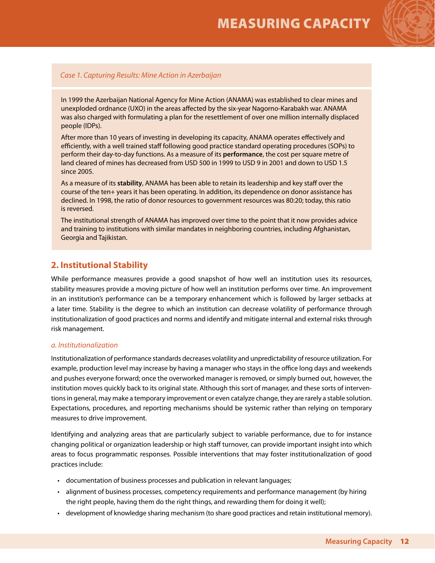

#### *Case 1. Capturing Results: Mine Action in Azerbaijan*

In 1999 the Azerbaijan National Agency for Mine Action (ANAMA) was established to clear mines and unexploded ordnance (UXO) in the areas affected by the six-year Nagorno-Karabakh war. ANAMA was also charged with formulating a plan for the resettlement of over one million internally displaced people (IDPs).

After more than 10 years of investing in developing its capacity, ANAMA operates effectively and efficiently, with a well trained staff following good practice standard operating procedures (SOPs) to perform their day-to-day functions. As a measure of its **performance**, the cost per square metre of land cleared of mines has decreased from USD 500 in 1999 to USD 9 in 2001 and down to USD 1.5 since 2005.

As a measure of its **stability**, ANAMA has been able to retain its leadership and key staff over the course of the ten+ years it has been operating. In addition, its dependence on donor assistance has declined. In 1998, the ratio of donor resources to government resources was 80:20; today, this ratio is reversed.

The institutional strength of ANAMA has improved over time to the point that it now provides advice and training to institutions with similar mandates in neighboring countries, including Afghanistan, Georgia and Tajikistan.

#### **2. Institutional Stability**

While performance measures provide a good snapshot of how well an institution uses its resources, stability measures provide a moving picture of how well an institution performs over time. An improvement in an institution's performance can be a temporary enhancement which is followed by larger setbacks at a later time. Stability is the degree to which an institution can decrease volatility of performance through institutionalization of good practices and norms and identify and mitigate internal and external risks through risk management.

#### *a. Institutionalization*

Institutionalization of performance standards decreases volatility and unpredictability of resource utilization. For example, production level may increase by having a manager who stays in the office long days and weekends and pushes everyone forward; once the overworked manager is removed, or simply burned out, however, the institution moves quickly back to its original state. Although this sort of manager, and these sorts of interventions in general, may make a temporary improvement or even catalyze change, they are rarely a stable solution. Expectations, procedures, and reporting mechanisms should be systemic rather than relying on temporary measures to drive improvement.

Identifying and analyzing areas that are particularly subject to variable performance, due to for instance changing political or organization leadership or high staff turnover, can provide important insight into which areas to focus programmatic responses. Possible interventions that may foster institutionalization of good practices include:

- documentation of business processes and publication in relevant languages;
- • alignment of business processes, competency requirements and performance management (by hiring the right people, having them do the right things, and rewarding them for doing it well);
- • development of knowledge sharing mechanism (to share good practices and retain institutional memory).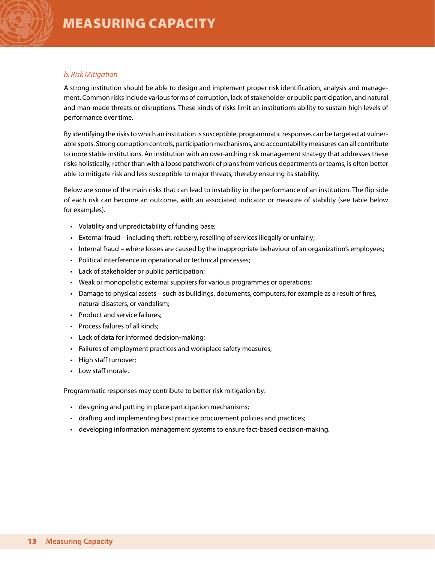#### *b. Risk Mitigation*

A strong institution should be able to design and implement proper risk identification, analysis and management. Common risks include various forms of corruption, lack of stakeholder or public participation, and natural and man-made threats or disruptions. These kinds of risks limit an institution's ability to sustain high levels of performance over time.

By identifying the risks to which an institution is susceptible, programmatic responses can be targeted at vulnerable spots. Strong corruption controls, participation mechanisms, and accountability measures can all contribute to more stable institutions. An institution with an over-arching risk management strategy that addresses these risks holistically, rather than with a loose patchwork of plans from various departments or teams, is often better able to mitigate risk and less susceptible to major threats, thereby ensuring its stability.

Below are some of the main risks that can lead to instability in the performance of an institution. The flip side of each risk can become an outcome, with an associated indicator or measure of stability (see table below for examples).

- • Volatility and unpredictability of funding base;
- External fraud including theft, robbery, reselling of services illegally or unfairly;
- • Internal fraud where losses are caused by the inappropriate behaviour of an organization's employees;
- Political interference in operational or technical processes;
- • Lack of stakeholder or public participation;
- Weak or monopolistic external suppliers for various programmes or operations;
- • Damage to physical assets such as buildings, documents, computers, for example as a result of fires, natural disasters, or vandalism;
- Product and service failures;
- Process failures of all kinds:
- • Lack of data for informed decision-making;
- Failures of employment practices and workplace safety measures;
- • High staff turnover;
- • Low staff morale.

Programmatic responses may contribute to better risk mitigation by:

- designing and putting in place participation mechanisms;
- drafting and implementing best practice procurement policies and practices;
- • developing information management systems to ensure fact-based decision-making.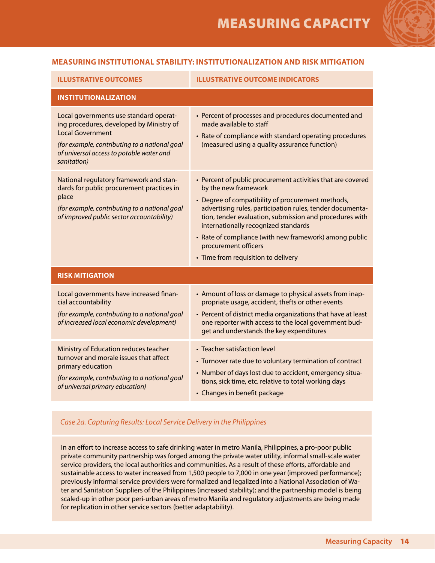#### **Measuring Institutional stability: institutionalization and risk mitigation**

| <b>ILLUSTRATIVE OUTCOMES</b>                                                                                                                                                                                              | <b>ILLUSTRATIVE OUTCOME INDICATORS</b>                                                                                                                                                                                                                                                                                                                                                                                            |  |
|---------------------------------------------------------------------------------------------------------------------------------------------------------------------------------------------------------------------------|-----------------------------------------------------------------------------------------------------------------------------------------------------------------------------------------------------------------------------------------------------------------------------------------------------------------------------------------------------------------------------------------------------------------------------------|--|
| <b>INSTITUTIONALIZATION</b>                                                                                                                                                                                               |                                                                                                                                                                                                                                                                                                                                                                                                                                   |  |
| Local governments use standard operat-<br>ing procedures, developed by Ministry of<br><b>Local Government</b><br>(for example, contributing to a national goal<br>of universal access to potable water and<br>sanitation) | • Percent of processes and procedures documented and<br>made available to staff<br>• Rate of compliance with standard operating procedures<br>(measured using a quality assurance function)                                                                                                                                                                                                                                       |  |
| National regulatory framework and stan-<br>dards for public procurement practices in<br>place<br>(for example, contributing to a national goal<br>of improved public sector accountability)                               | • Percent of public procurement activities that are covered<br>by the new framework<br>• Degree of compatibility of procurement methods,<br>advertising rules, participation rules, tender documenta-<br>tion, tender evaluation, submission and procedures with<br>internationally recognized standards<br>• Rate of compliance (with new framework) among public<br>procurement officers<br>• Time from requisition to delivery |  |
| <b>RISK MITIGATION</b>                                                                                                                                                                                                    |                                                                                                                                                                                                                                                                                                                                                                                                                                   |  |
| Local governments have increased finan-<br>cial accountability<br>(for example, contributing to a national goal<br>of increased local economic development)                                                               | • Amount of loss or damage to physical assets from inap-<br>propriate usage, accident, thefts or other events<br>• Percent of district media organizations that have at least<br>one reporter with access to the local government bud-<br>get and understands the key expenditures                                                                                                                                                |  |
| Ministry of Education reduces teacher<br>turnover and morale issues that affect<br>primary education<br>(for example, contributing to a national goal<br>of universal primary education)                                  | • Teacher satisfaction level<br>• Turnover rate due to voluntary termination of contract<br>• Number of days lost due to accident, emergency situa-<br>tions, sick time, etc. relative to total working days<br>• Changes in benefit package                                                                                                                                                                                      |  |

#### *Case 2a. Capturing Results: Local Service Delivery in the Philippines*

In an effort to increase access to safe drinking water in metro Manila, Philippines, a pro-poor public private community partnership was forged among the private water utility, informal small-scale water service providers, the local authorities and communities. As a result of these efforts, affordable and sustainable access to water increased from 1,500 people to 7,000 in one year (improved performance); previously informal service providers were formalized and legalized into a National Association of Water and Sanitation Suppliers of the Philippines (increased stability); and the partnership model is being scaled-up in other poor peri-urban areas of metro Manila and regulatory adjustments are being made for replication in other service sectors (better adaptability).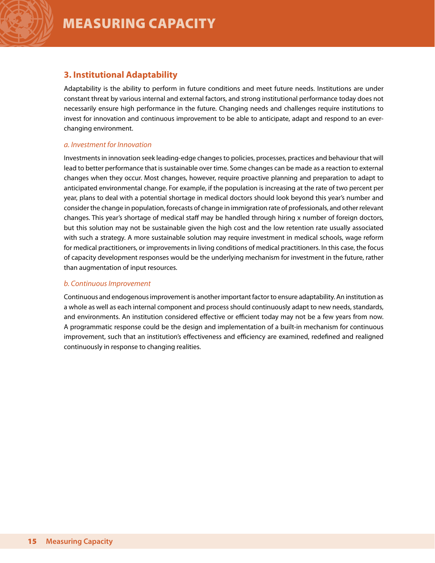### **3. Institutional Adaptability**

Adaptability is the ability to perform in future conditions and meet future needs. Institutions are under constant threat by various internal and external factors, and strong institutional performance today does not necessarily ensure high performance in the future. Changing needs and challenges require institutions to invest for innovation and continuous improvement to be able to anticipate, adapt and respond to an everchanging environment.

#### *a. Investment for Innovation*

Investments in innovation seek leading-edge changes to policies, processes, practices and behaviour that will lead to better performance that is sustainable over time. Some changes can be made as a reaction to external changes when they occur. Most changes, however, require proactive planning and preparation to adapt to anticipated environmental change. For example, if the population is increasing at the rate of two percent per year, plans to deal with a potential shortage in medical doctors should look beyond this year's number and consider the change in population, forecasts of change in immigration rate of professionals, and other relevant changes. This year's shortage of medical staff may be handled through hiring x number of foreign doctors, but this solution may not be sustainable given the high cost and the low retention rate usually associated with such a strategy. A more sustainable solution may require investment in medical schools, wage reform for medical practitioners, or improvements in living conditions of medical practitioners. In this case, the focus of capacity development responses would be the underlying mechanism for investment in the future, rather than augmentation of input resources.

#### *b. Continuous Improvement*

Continuous and endogenous improvement is another important factor to ensure adaptability. An institution as a whole as well as each internal component and process should continuously adapt to new needs, standards, and environments. An institution considered effective or efficient today may not be a few years from now. A programmatic response could be the design and implementation of a built-in mechanism for continuous improvement, such that an institution's effectiveness and efficiency are examined, redefined and realigned continuously in response to changing realities.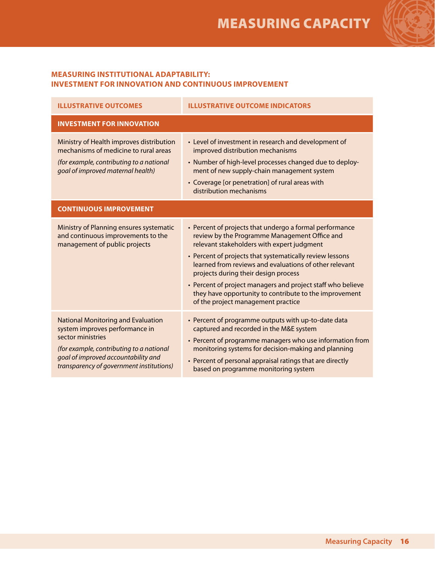

#### **Measuring Institutional Adaptability: Investment for innovation and continuous improvement**

| <b>ILLUSTRATIVE OUTCOMES</b>                                                                                                                                                                                                    | <b>ILLUSTRATIVE OUTCOME INDICATORS</b>                                                                                                                                                                                                                                                                                                                                                                                                                                              |
|---------------------------------------------------------------------------------------------------------------------------------------------------------------------------------------------------------------------------------|-------------------------------------------------------------------------------------------------------------------------------------------------------------------------------------------------------------------------------------------------------------------------------------------------------------------------------------------------------------------------------------------------------------------------------------------------------------------------------------|
| <b>INVESTMENT FOR INNOVATION</b>                                                                                                                                                                                                |                                                                                                                                                                                                                                                                                                                                                                                                                                                                                     |
| Ministry of Health improves distribution<br>mechanisms of medicine to rural areas<br>(for example, contributing to a national<br>goal of improved maternal health)                                                              | • Level of investment in research and development of<br>improved distribution mechanisms<br>• Number of high-level processes changed due to deploy-<br>ment of new supply-chain management system<br>• Coverage [or penetration] of rural areas with<br>distribution mechanisms                                                                                                                                                                                                     |
| <b>CONTINUOUS IMPROVEMENT</b>                                                                                                                                                                                                   |                                                                                                                                                                                                                                                                                                                                                                                                                                                                                     |
| Ministry of Planning ensures systematic<br>and continuous improvements to the<br>management of public projects                                                                                                                  | • Percent of projects that undergo a formal performance<br>review by the Programme Management Office and<br>relevant stakeholders with expert judgment<br>• Percent of projects that systematically review lessons<br>learned from reviews and evaluations of other relevant<br>projects during their design process<br>• Percent of project managers and project staff who believe<br>they have opportunity to contribute to the improvement<br>of the project management practice |
| <b>National Monitoring and Evaluation</b><br>system improves performance in<br>sector ministries<br>(for example, contributing to a national<br>goal of improved accountability and<br>transparency of government institutions) | • Percent of programme outputs with up-to-date data<br>captured and recorded in the M&E system<br>• Percent of programme managers who use information from<br>monitoring systems for decision-making and planning<br>• Percent of personal appraisal ratings that are directly<br>based on programme monitoring system                                                                                                                                                              |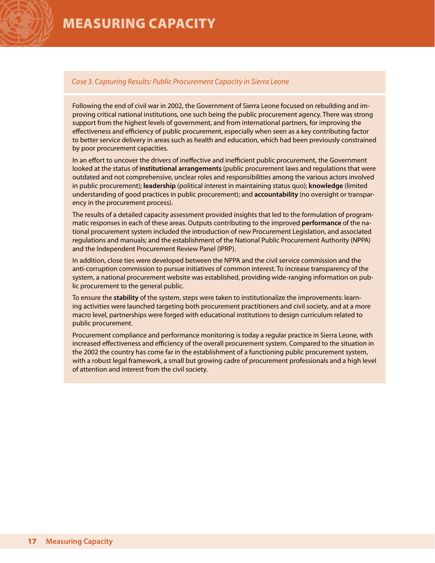#### *Case 3. Capturing Results: Public Procurement Capacity in Sierra Leone*

Following the end of civil war in 2002, the Government of Sierra Leone focused on rebuilding and improving critical national institutions, one such being the public procurement agency. There was strong support from the highest levels of government, and from international partners, for improving the effectiveness and efficiency of public procurement, especially when seen as a key contributing factor to better service delivery in areas such as health and education, which had been previously constrained by poor procurement capacities.

In an effort to uncover the drivers of ineffective and inefficient public procurement, the Government looked at the status of **institutional arrangements** (public procurement laws and regulations that were outdated and not comprehensive, unclear roles and responsibilities among the various actors involved in public procurement); **leadership** (political interest in maintaining status quo); **knowledge** (limited understanding of good practices in public procurement); and **accountability** (no oversight or transparency in the procurement process).

The results of a detailed capacity assessment provided insights that led to the formulation of programmatic responses in each of these areas. Outputs contributing to the improved **performance** of the national procurement system included the introduction of new Procurement Legislation, and associated regulations and manuals; and the establishment of the National Public Procurement Authority (NPPA) and the Independent Procurement Review Panel (IPRP).

In addition, close ties were developed between the NPPA and the civil service commission and the anti-corruption commission to pursue initiatives of common interest. To increase transparency of the system, a national procurement website was established, providing wide-ranging information on public procurement to the general public.

To ensure the **stability** of the system, steps were taken to institutionalize the improvements: learning activities were launched targeting both procurement practitioners and civil society, and at a more macro level, partnerships were forged with educational institutions to design curriculum related to public procurement.

Procurement compliance and performance monitoring is today a regular practice in Sierra Leone, with increased effectiveness and efficiency of the overall procurement system. Compared to the situation in the 2002 the country has come far in the establishment of a functioning public procurement system, with a robust legal framework, a small but growing cadre of procurement professionals and a high level of attention and interest from the civil society.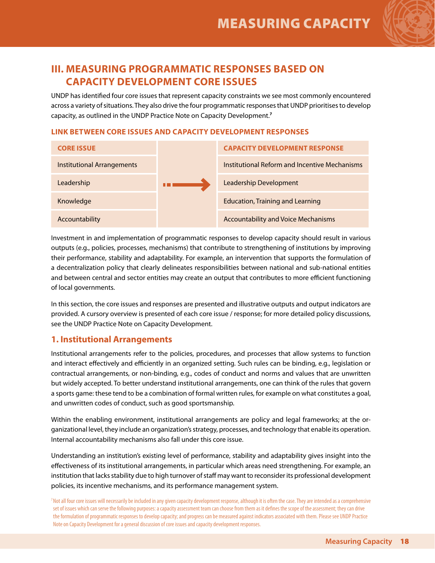

## **III. Measuring Programmatic Responses based on Capacity Development Core Issues**

UNDP has identified four core issues that represent capacity constraints we see most commonly encountered across a variety of situations. They also drive the four programmatic responses that UNDP prioritises to develop capacity, as outlined in the UNDP Practice Note on Capacity Development.**<sup>7</sup>**

#### **LINK BETWEEN CORE ISSUES AND CAPACITY DEVELOPMENT RESPONSES**

| <b>CORE ISSUE</b>          | <b>CAPACITY DEVELOPMENT RESPONSE</b>          |  |
|----------------------------|-----------------------------------------------|--|
| Institutional Arrangements | Institutional Reform and Incentive Mechanisms |  |
| Leadership                 | Leadership Development                        |  |
| Knowledge                  | <b>Education, Training and Learning</b>       |  |
| Accountability             | <b>Accountability and Voice Mechanisms</b>    |  |

Investment in and implementation of programmatic responses to develop capacity should result in various outputs (e.g., policies, processes, mechanisms) that contribute to strengthening of institutions by improving their performance, stability and adaptability. For example, an intervention that supports the formulation of a decentralization policy that clearly delineates responsibilities between national and sub-national entities and between central and sector entities may create an output that contributes to more efficient functioning of local governments.

In this section, the core issues and responses are presented and illustrative outputs and output indicators are provided. A cursory overview is presented of each core issue / response; for more detailed policy discussions, see the UNDP Practice Note on Capacity Development.

#### **1. Institutional Arrangements**

Institutional arrangements refer to the policies, procedures, and processes that allow systems to function and interact effectively and efficiently in an organized setting. Such rules can be binding, e.g., legislation or contractual arrangements, or non-binding, e.g., codes of conduct and norms and values that are unwritten but widely accepted. To better understand institutional arrangements, one can think of the rules that govern a sports game: these tend to be a combination of formal written rules, for example on what constitutes a goal, and unwritten codes of conduct, such as good sportsmanship.

Within the enabling environment, institutional arrangements are policy and legal frameworks; at the organizational level, they include an organization's strategy, processes, and technology that enable its operation. Internal accountability mechanisms also fall under this core issue.

Understanding an institution's existing level of performance, stability and adaptability gives insight into the effectiveness of its institutional arrangements, in particular which areas need strengthening. For example, an institution that lacks stability due to high turnover of staff may want to reconsider its professional development policies, its incentive mechanisms, and its performance management system.

<sup>7</sup> Not all four core issues will necessarily be included in any given capacity development response, although it is often the case. They are intended as a comprehensive set of issues which can serve the following purposes: a capacity assessment team can choose from them as it defines the scope of the assessment; they can drive the formulation of programmatic responses to develop capacity; and progress can be measured against indicators associated with them. Please see UNDP Practice Note on Capacity Development for a general discussion of core issues and capacity development responses.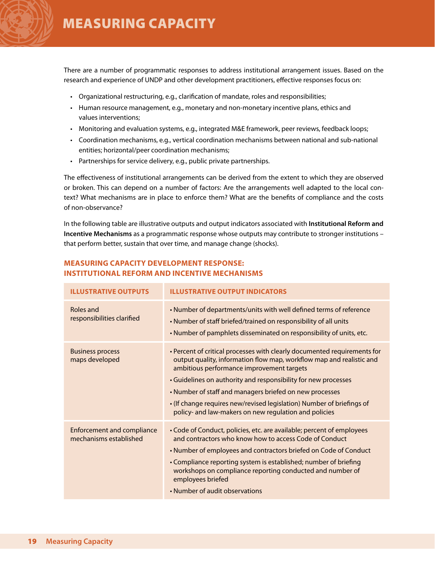There are a number of programmatic responses to address institutional arrangement issues. Based on the research and experience of UNDP and other development practitioners, effective responses focus on:

- Organizational restructuring, e.g., clarification of mandate, roles and responsibilities;
- • Human resource management, e.g., monetary and non-monetary incentive plans, ethics and values interventions;
- • Monitoring and evaluation systems, e.g., integrated M&E framework, peer reviews, feedback loops;
- • Coordination mechanisms, e.g., vertical coordination mechanisms between national and sub-national entities; horizontal/peer coordination mechanisms;
- Partnerships for service delivery, e.g., public private partnerships.

The effectiveness of institutional arrangements can be derived from the extent to which they are observed or broken. This can depend on a number of factors: Are the arrangements well adapted to the local context? What mechanisms are in place to enforce them? What are the benefits of compliance and the costs of non-observance?

In the following table are illustrative outputs and output indicators associated with **Institutional Reform and Incentive Mechanisms** as a programmatic response whose outputs may contribute to stronger institutions – that perform better, sustain that over time, and manage change (shocks).

| <b>ILLUSTRATIVE OUTPUTS</b>                                 | <b>ILLUSTRATIVE OUTPUT INDICATORS</b>                                                                                                                                                                                                                                                                                                                                                                                                                        |
|-------------------------------------------------------------|--------------------------------------------------------------------------------------------------------------------------------------------------------------------------------------------------------------------------------------------------------------------------------------------------------------------------------------------------------------------------------------------------------------------------------------------------------------|
| Roles and<br>responsibilities clarified                     | • Number of departments/units with well defined terms of reference<br>. Number of staff briefed/trained on responsibility of all units<br>. Number of pamphlets disseminated on responsibility of units, etc.                                                                                                                                                                                                                                                |
| <b>Business process</b><br>maps developed                   | • Percent of critical processes with clearly documented requirements for<br>output quality, information flow map, workflow map and realistic and<br>ambitious performance improvement targets<br>• Guidelines on authority and responsibility for new processes<br>• Number of staff and managers briefed on new processes<br>• (If change requires new/revised legislation) Number of briefings of<br>policy- and law-makers on new regulation and policies |
| <b>Enforcement and compliance</b><br>mechanisms established | • Code of Conduct, policies, etc. are available; percent of employees<br>and contractors who know how to access Code of Conduct<br>• Number of employees and contractors briefed on Code of Conduct<br>• Compliance reporting system is established; number of briefing<br>workshops on compliance reporting conducted and number of<br>employees briefed<br>• Number of audit observations                                                                  |

#### **Measuring capacity development response: institutional reform and incentive mechanisms**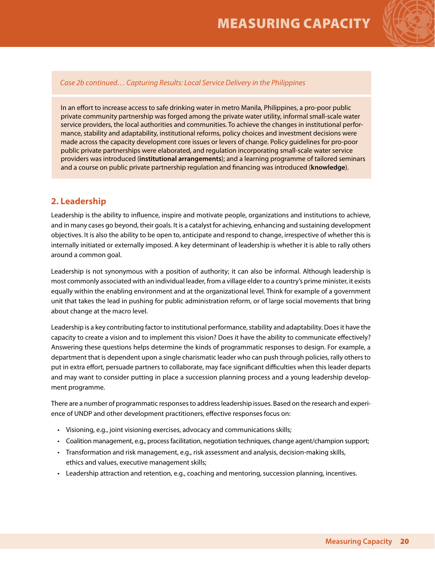

#### *Case 2b continued… Capturing Results: Local Service Delivery in the Philippines*

In an effort to increase access to safe drinking water in metro Manila, Philippines, a pro-poor public private community partnership was forged among the private water utility, informal small-scale water service providers, the local authorities and communities. To achieve the changes in institutional performance, stability and adaptability, institutional reforms, policy choices and investment decisions were made across the capacity development core issues or levers of change. Policy guidelines for pro-poor public private partnerships were elaborated, and regulation incorporating small-scale water service providers was introduced (**institutional arrangements**); and a learning programme of tailored seminars and a course on public private partnership regulation and financing was introduced (**knowledge**).

#### **2. Leadership**

Leadership is the ability to influence, inspire and motivate people, organizations and institutions to achieve, and in many cases go beyond, their goals. It is a catalyst for achieving, enhancing and sustaining development objectives. It is also the ability to be open to, anticipate and respond to change, irrespective of whether this is internally initiated or externally imposed. A key determinant of leadership is whether it is able to rally others around a common goal.

Leadership is not synonymous with a position of authority; it can also be informal. Although leadership is most commonly associated with an individual leader, from a village elder to a country's prime minister, it exists equally within the enabling environment and at the organizational level. Think for example of a government unit that takes the lead in pushing for public administration reform, or of large social movements that bring about change at the macro level.

Leadership is a key contributing factor to institutional performance, stability and adaptability. Does it have the capacity to create a vision and to implement this vision? Does it have the ability to communicate effectively? Answering these questions helps determine the kinds of programmatic responses to design. For example, a department that is dependent upon a single charismatic leader who can push through policies, rally others to put in extra effort, persuade partners to collaborate, may face significant difficulties when this leader departs and may want to consider putting in place a succession planning process and a young leadership development programme.

There are a number of programmatic responses to address leadership issues. Based on the research and experience of UNDP and other development practitioners, effective responses focus on:

- • Visioning, e.g., joint visioning exercises, advocacy and communications skills;
- • Coalition management, e.g., process facilitation, negotiation techniques, change agent/champion support;
- • Transformation and risk management, e.g., risk assessment and analysis, decision-making skills, ethics and values, executive management skills;
- • Leadership attraction and retention, e.g., coaching and mentoring, succession planning, incentives.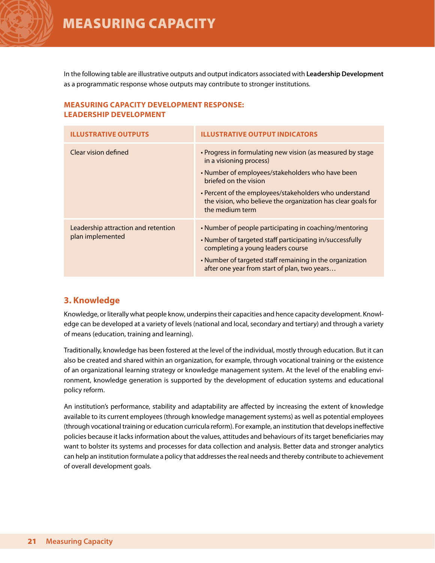In the following table are illustrative outputs and output indicators associated with **Leadership Development**  as a programmatic response whose outputs may contribute to stronger institutions.

#### **Measuring capacity development response: leadership development**

| <b>ILLUSTRATIVE OUTPUTS</b>                             | <b>ILLUSTRATIVE OUTPUT INDICATORS</b>                                                                                                                                                                                                                                                                           |
|---------------------------------------------------------|-----------------------------------------------------------------------------------------------------------------------------------------------------------------------------------------------------------------------------------------------------------------------------------------------------------------|
| Clear vision defined                                    | • Progress in formulating new vision (as measured by stage<br>in a visioning process)<br>• Number of employees/stakeholders who have been<br>briefed on the vision<br>• Percent of the employees/stakeholders who understand<br>the vision, who believe the organization has clear goals for<br>the medium term |
| Leadership attraction and retention<br>plan implemented | • Number of people participating in coaching/mentoring<br>• Number of targeted staff participating in/successfully<br>completing a young leaders course<br>• Number of targeted staff remaining in the organization<br>after one year from start of plan, two years                                             |

### **3. Knowledge**

Knowledge, or literally what people know, underpins their capacities and hence capacity development. Knowledge can be developed at a variety of levels (national and local, secondary and tertiary) and through a variety of means (education, training and learning).

Traditionally, knowledge has been fostered at the level of the individual, mostly through education. But it can also be created and shared within an organization, for example, through vocational training or the existence of an organizational learning strategy or knowledge management system. At the level of the enabling environment, knowledge generation is supported by the development of education systems and educational policy reform.

An institution's performance, stability and adaptability are affected by increasing the extent of knowledge available to its current employees (through knowledge management systems) as well as potential employees (through vocational training or education curricula reform). For example, an institution that develops ineffective policies because it lacks information about the values, attitudes and behaviours of its target beneficiaries may want to bolster its systems and processes for data collection and analysis. Better data and stronger analytics can help an institution formulate a policy that addresses the real needs and thereby contribute to achievement of overall development goals.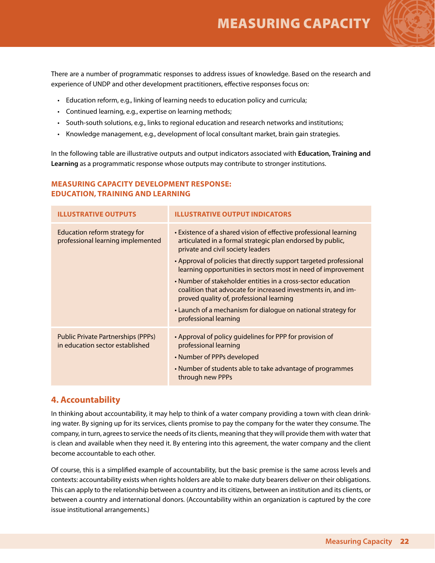There are a number of programmatic responses to address issues of knowledge. Based on the research and experience of UNDP and other development practitioners, effective responses focus on:

- Education reform, e.g., linking of learning needs to education policy and curricula;
- Continued learning, e.g., expertise on learning methods;
- • South-south solutions, e.g., links to regional education and research networks and institutions;
- Knowledge management, e.g., development of local consultant market, brain gain strategies.

In the following table are illustrative outputs and output indicators associated with **Education, Training and Learning** as a programmatic response whose outputs may contribute to stronger institutions.

#### **Illustrative Outputs Illustrative output Indicators** Education reform strategy for professional learning implemented • Existence of a shared vision of effective professional learning articulated in a formal strategic plan endorsed by public, private and civil society leaders • Approval of policies that directly support targeted professional learning opportunities in sectors most in need of improvement • Number of stakeholder entities in a cross-sector education coalition that advocate for increased investments in, and improved quality of, professional learning • Launch of a mechanism for dialogue on national strategy for professional learning Public Private Partnerships (PPPs) in education sector established • Approval of policy guidelines for PPP for provision of professional learning • Number of PPPs developed • Number of students able to take advantage of programmes through new PPPs

#### **Measuring capacity development response: education, training and learning**

#### **4. Accountability**

In thinking about accountability, it may help to think of a water company providing a town with clean drinking water. By signing up for its services, clients promise to pay the company for the water they consume. The company, in turn, agrees to service the needs of its clients, meaning that they will provide them with water that is clean and available when they need it. By entering into this agreement, the water company and the client become accountable to each other.

Of course, this is a simplified example of accountability, but the basic premise is the same across levels and contexts: accountability exists when rights holders are able to make duty bearers deliver on their obligations. This can apply to the relationship between a country and its citizens, between an institution and its clients, or between a country and international donors. (Accountability within an organization is captured by the core issue institutional arrangements.)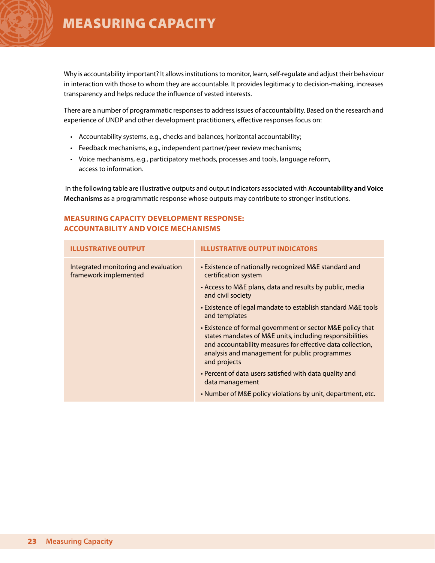Why is accountability important? It allows institutions to monitor, learn, self-regulate and adjust their behaviour in interaction with those to whom they are accountable. It provides legitimacy to decision-making, increases transparency and helps reduce the influence of vested interests.

There are a number of programmatic responses to address issues of accountability. Based on the research and experience of UNDP and other development practitioners, effective responses focus on:

- Accountability systems, e.g., checks and balances, horizontal accountability;
- Feedback mechanisms, e.g., independent partner/peer review mechanisms;
- • Voice mechanisms, e.g., participatory methods, processes and tools, language reform, access to information.

 In the following table are illustrative outputs and output indicators associated with **Accountability and Voice Mechanisms** as a programmatic response whose outputs may contribute to stronger institutions.

#### **Measuring capacity development response: accountability and voice mechanisms**

| <b>ILLUSTRATIVE OUTPUT</b>                                    | <b>ILLUSTRATIVE OUTPUT INDICATORS</b>                                                                                                                                                                                                                 |
|---------------------------------------------------------------|-------------------------------------------------------------------------------------------------------------------------------------------------------------------------------------------------------------------------------------------------------|
| Integrated monitoring and evaluation<br>framework implemented | • Existence of nationally recognized M&E standard and<br>certification system                                                                                                                                                                         |
|                                                               | • Access to M&E plans, data and results by public, media<br>and civil society                                                                                                                                                                         |
|                                                               | • Existence of legal mandate to establish standard M&E tools<br>and templates                                                                                                                                                                         |
|                                                               | • Existence of formal government or sector M&E policy that<br>states mandates of M&E units, including responsibilities<br>and accountability measures for effective data collection,<br>analysis and management for public programmes<br>and projects |
|                                                               | • Percent of data users satisfied with data quality and<br>data management                                                                                                                                                                            |
|                                                               | . Number of M&E policy violations by unit, department, etc.                                                                                                                                                                                           |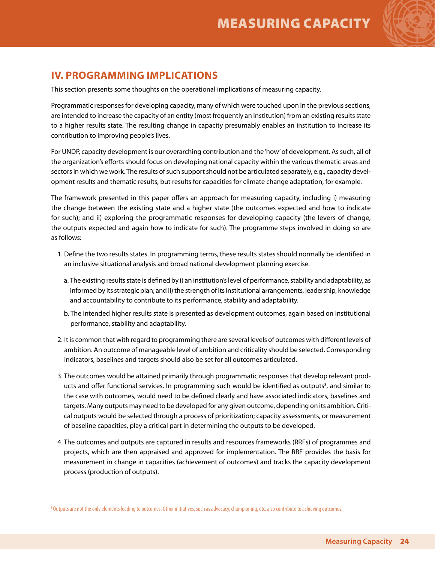

## **IV. Programming Implications**

This section presents some thoughts on the operational implications of measuring capacity.

Programmatic responses for developing capacity, many of which were touched upon in the previous sections, are intended to increase the capacity of an entity (most frequently an institution) from an existing results state to a higher results state. The resulting change in capacity presumably enables an institution to increase its contribution to improving people's lives.

For UNDP, capacity development is our overarching contribution and the 'how' of development. As such, all of the organization's efforts should focus on developing national capacity within the various thematic areas and sectors in which we work. The results of such support should not be articulated separately, e.g., capacity development results and thematic results, but results for capacities for climate change adaptation, for example.

The framework presented in this paper offers an approach for measuring capacity, including i) measuring the change between the existing state and a higher state (the outcomes expected and how to indicate for such); and ii) exploring the programmatic responses for developing capacity (the levers of change, the outputs expected and again how to indicate for such). The programme steps involved in doing so are as follows:

- 1. Define the two results states. In programming terms, these results states should normally be identified in an inclusive situational analysis and broad national development planning exercise.
	- a. The existing results state is defined by i) an institution's level of performance, stability and adaptability, as informed by its strategic plan; and ii) the strength of its institutional arrangements, leadership, knowledge and accountability to contribute to its performance, stability and adaptability.
	- b. The intended higher results state is presented as development outcomes, again based on institutional performance, stability and adaptability.
- 2. It is common that with regard to programming there are several levels of outcomes with different levels of ambition. An outcome of manageable level of ambition and criticality should be selected. Corresponding indicators, baselines and targets should also be set for all outcomes articulated.
- 3. The outcomes would be attained primarily through programmatic responses that develop relevant products and offer functional services. In programming such would be identified as outputs<sup>8</sup>, and similar to the case with outcomes, would need to be defined clearly and have associated indicators, baselines and targets. Many outputs may need to be developed for any given outcome, depending on its ambition. Critical outputs would be selected through a process of prioritization; capacity assessments, or measurement of baseline capacities, play a critical part in determining the outputs to be developed.
- 4. The outcomes and outputs are captured in results and resources frameworks (RRFs) of programmes and projects, which are then appraised and approved for implementation. The RRF provides the basis for measurement in change in capacities (achievement of outcomes) and tracks the capacity development process (production of outputs).

<sup>8</sup> Outputs are not the only elements leading to outcomes. Other initiatives, such as advocacy, championing, etc. also contribute to achieving outcomes.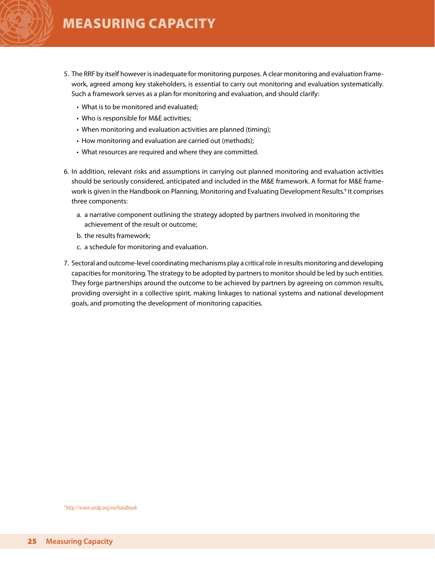- 5. The RRF by itself however is inadequate for monitoring purposes. A clear monitoring and evaluation framework, agreed among key stakeholders, is essential to carry out monitoring and evaluation systematically. Such a framework serves as a plan for monitoring and evaluation, and should clarify:
	- What is to be monitored and evaluated:
	- Who is responsible for M&E activities;
	- When monitoring and evaluation activities are planned (timing);
	- How monitoring and evaluation are carried out (methods);
	- What resources are required and where they are committed.
- 6. In addition, relevant risks and assumptions in carrying out planned monitoring and evaluation activities should be seriously considered, anticipated and included in the M&E framework. A format for M&E framework is given in the Handbook on Planning, Monitoring and Evaluating Development Results.<sup>9</sup> It comprises three components:
	- a. a narrative component outlining the strategy adopted by partners involved in monitoring the achievement of the result or outcome;
	- b. the results framework;
	- c. a schedule for monitoring and evaluation.
- 7. Sectoral and outcome-level coordinating mechanisms play a critical role in results monitoring and developing capacities for monitoring. The strategy to be adopted by partners to monitor should be led by such entities. They forge partnerships around the outcome to be achieved by partners by agreeing on common results, providing oversight in a collective spirit, making linkages to national systems and national development goals, and promoting the development of monitoring capacities.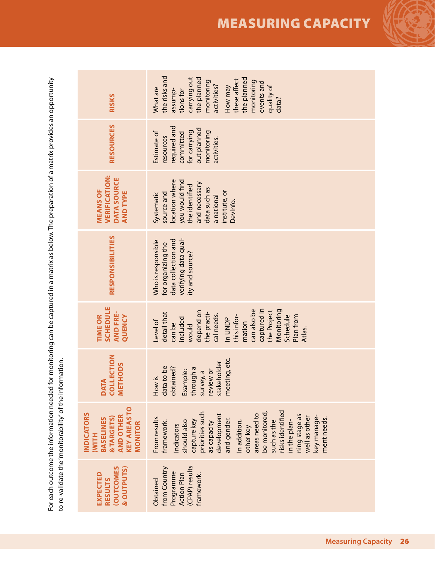For each outcome the information needed for monitoring can be captured in a matrix as below. The preparation of a matrix provides an opportunity<br>to re-validate the 'monitorability' of the information. For each outcome the information needed for monitoring can be captured in a matrix as below. The preparation of a matrix provides an opportunity to re-validate the 'monitorability' of the information.

| <b>RISKS</b>                                                                                                       | the risks and<br>carrying out<br>the planned<br>the planned<br>these affect<br>monitoring<br>monitoring<br>events and<br>activities?<br>quality of<br>How may<br>What are<br>tions for<br>assump-<br>data?                                                                                                               |
|--------------------------------------------------------------------------------------------------------------------|--------------------------------------------------------------------------------------------------------------------------------------------------------------------------------------------------------------------------------------------------------------------------------------------------------------------------|
| <b>RESOURCES</b>                                                                                                   | required and<br>out planned<br>for carrying<br>monitoring<br>Estimate of<br>committed<br>resources<br>activities.                                                                                                                                                                                                        |
| <b>VERIFICATION:</b><br>DATA SOURCE<br><b>MEANS OF</b><br><b>AND TYPE</b>                                          | ocation where<br>you would find<br>and necessary<br>the identified<br>data such as<br>institute, or<br>source and<br>Systematic<br>a national<br>Devlnfo.                                                                                                                                                                |
| RESPONSIBILITIES                                                                                                   | verifying data qual-<br>data collection and<br>Who is responsible<br>for organizing the<br>ity and source?                                                                                                                                                                                                               |
| <b>SCHEDULE</b><br><b>AND FRE-</b><br>QUENCY<br><b>TIME OR</b>                                                     | can also be<br>captured in<br>Monitoring<br>depend on<br>the Project<br>the practi-<br>detail that<br>cal needs.<br>Plan from<br>this infor-<br>Schedule<br>included<br>In UNDP<br>Level of<br>mation<br>can be<br>would<br>Atlas.                                                                                       |
| <b>COLLECTION</b><br><b>METHODS</b><br><b>DATA</b>                                                                 | meeting, etc.<br>stakeholder<br>data to be<br>obtained?<br>through a<br>Example:<br>review or<br>survey, a<br>How is                                                                                                                                                                                                     |
| <b>KEY AREAS TO</b><br><b>INDICATORS</b><br><b>AND OTHER</b><br>& TARGETS)<br><b>BASELINES</b><br>MONITOR<br>(WITH | risks identified<br>be monitored,<br>priorities such<br>areas need to<br>development<br>ning stage as<br>key manage-<br>well as other<br>From results<br>ment needs.<br>and gender.<br>should also<br>framework.<br>In addition,<br>in the plan-<br>capture key<br>such as the<br>as capacity<br>Indicators<br>other key |
| <b>(OUTCOMES</b><br>& OUTPUTS)<br><b>EXPECTED</b><br><b>RESULTS</b>                                                | (CPAP) results<br>from Country<br>Programme<br>framework.<br><b>Action Plan</b><br>Obtained                                                                                                                                                                                                                              |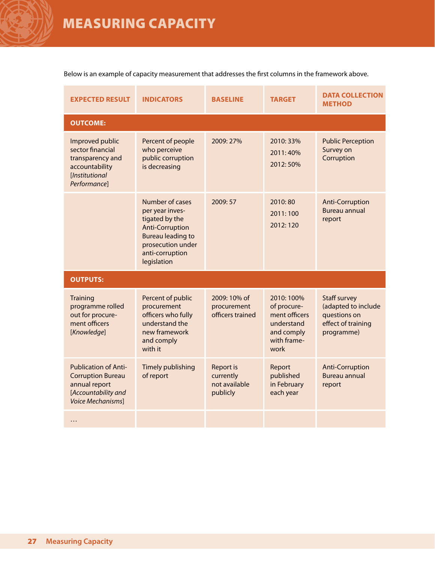Below is an example of capacity measurement that addresses the first columns in the framework above.

| <b>EXPECTED RESULT</b>                                                                                               | <b>INDICATORS</b>                                                                                                                                                 | <b>BASELINE</b>                                            | <b>TARGET</b>                                                                                | <b>DATA COLLECTION</b><br><b>METHOD</b>                                                        |
|----------------------------------------------------------------------------------------------------------------------|-------------------------------------------------------------------------------------------------------------------------------------------------------------------|------------------------------------------------------------|----------------------------------------------------------------------------------------------|------------------------------------------------------------------------------------------------|
| <b>OUTCOME:</b>                                                                                                      |                                                                                                                                                                   |                                                            |                                                                                              |                                                                                                |
| Improved public<br>sector financial<br>transparency and<br>accountability<br>[Institutional<br>Performance]          | Percent of people<br>who perceive<br>public corruption<br>is decreasing                                                                                           | 2009: 27%                                                  | 2010: 33%<br>2011:40%<br>2012:50%                                                            | <b>Public Perception</b><br>Survey on<br>Corruption                                            |
|                                                                                                                      | Number of cases<br>per year inves-<br>tigated by the<br><b>Anti-Corruption</b><br><b>Bureau leading to</b><br>prosecution under<br>anti-corruption<br>legislation | 2009: 57                                                   | 2010:80<br>2011:100<br>2012:120                                                              | <b>Anti-Corruption</b><br><b>Bureau annual</b><br>report                                       |
| <b>OUTPUTS:</b>                                                                                                      |                                                                                                                                                                   |                                                            |                                                                                              |                                                                                                |
| <b>Training</b><br>programme rolled<br>out for procure-<br>ment officers<br>[Knowledge]                              | Percent of public<br>procurement<br>officers who fully<br>understand the<br>new framework<br>and comply<br>with it                                                | 2009: 10% of<br>procurement<br>officers trained            | 2010:100%<br>of procure-<br>ment officers<br>understand<br>and comply<br>with frame-<br>work | <b>Staff survey</b><br>(adapted to include<br>questions on<br>effect of training<br>programme) |
| <b>Publication of Anti-</b><br><b>Corruption Bureau</b><br>annual report<br>[Accountability and<br>Voice Mechanisms] | Timely publishing<br>of report                                                                                                                                    | <b>Report is</b><br>currently<br>not available<br>publicly | Report<br>published<br>in February<br>each year                                              | <b>Anti-Corruption</b><br><b>Bureau annual</b><br>report                                       |
| .                                                                                                                    |                                                                                                                                                                   |                                                            |                                                                                              |                                                                                                |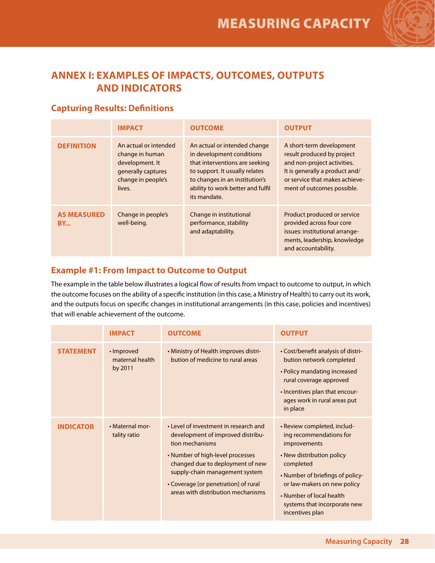

## **ANNEX I: EXAMPLES OF IMPACTS, OUTCOMES, OUTPUTS AND INDICATORS**

### **Capturing Results: Definitions**

|                                 | <b>IMPACT</b>                                                                                                     | <b>OUTCOME</b>                                                                                                                                                                                                       | <b>OUTPUT</b>                                                                                                                                                                           |
|---------------------------------|-------------------------------------------------------------------------------------------------------------------|----------------------------------------------------------------------------------------------------------------------------------------------------------------------------------------------------------------------|-----------------------------------------------------------------------------------------------------------------------------------------------------------------------------------------|
| <b>DEFINITION</b>               | An actual or intended<br>change in human<br>development. It<br>generally captures<br>change in people's<br>lives. | An actual or intended change<br>in development conditions<br>that interventions are seeking<br>to support. It usually relates<br>to changes in an institution's<br>ability to work better and fulfil<br>its mandate. | A short-term development<br>result produced by project<br>and non-project activities.<br>It is generally a product and/<br>or service that makes achieve-<br>ment of outcomes possible. |
| <b>AS MEASURED</b><br><b>BY</b> | Change in people's<br>well-being.                                                                                 | Change in institutional<br>performance, stability<br>and adaptability.                                                                                                                                               | Product produced or service<br>provided across four core<br>issues: institutional arrange-<br>ments, leadership, knowledge<br>and accountability.                                       |

### **Example #1: From Impact to Outcome to Output**

The example in the table below illustrates a logical flow of results from impact to outcome to output, in which the outcome focuses on the ability of a specific institution (in this case, a Ministry of Health) to carry out its work, and the outputs focus on specific changes in institutional arrangements (in this case, policies and incentives) that will enable achievement of the outcome.

|                  | <b>IMPACT</b>                            | <b>OUTCOME</b>                                                                                                                                                                                                                                                                        | <b>OUTPUT</b>                                                                                                                                                                                                                                                             |
|------------------|------------------------------------------|---------------------------------------------------------------------------------------------------------------------------------------------------------------------------------------------------------------------------------------------------------------------------------------|---------------------------------------------------------------------------------------------------------------------------------------------------------------------------------------------------------------------------------------------------------------------------|
| <b>STATEMENT</b> | • Improved<br>maternal health<br>by 2011 | • Ministry of Health improves distri-<br>bution of medicine to rural areas                                                                                                                                                                                                            | • Cost/benefit analysis of distri-<br>bution network completed<br>• Policy mandating increased<br>rural coverage approved<br>• Incentives plan that encour-<br>ages work in rural areas put<br>in place                                                                   |
| <b>INDICATOR</b> | • Maternal mor-<br>tality ratio          | • Level of investment in research and<br>development of improved distribu-<br>tion mechanisms<br>• Number of high-level processes<br>changed due to deployment of new<br>supply-chain management system<br>• Coverage [or penetration] of rural<br>areas with distribution mechanisms | • Review completed, includ-<br>ing recommendations for<br><i>improvements</i><br>• New distribution policy<br>completed<br>• Number of briefings of policy-<br>or law-makers on new policy<br>• Number of local health<br>systems that incorporate new<br>incentives plan |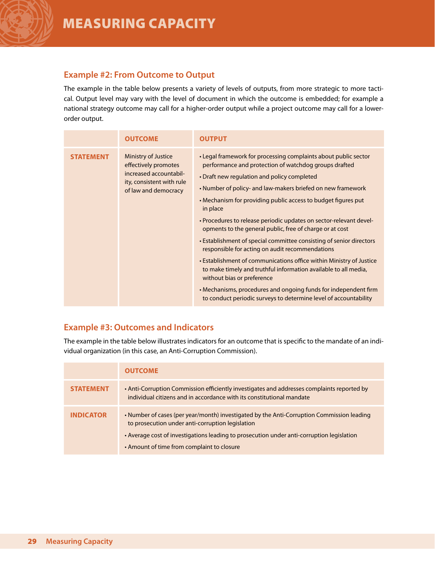#### **Example #2: From Outcome to Output**

The example in the table below presents a variety of levels of outputs, from more strategic to more tactical. Output level may vary with the level of document in which the outcome is embedded; for example a national strategy outcome may call for a higher-order output while a project outcome may call for a lowerorder output.

|                  | <b>OUTCOME</b>                                                                                                                    | <b>OUTPUT</b>                                                                                                                                                                                                                                                                                                                                                                                                                                                                                                                                                                                                                                                                                                                                                                                                                                                                                  |
|------------------|-----------------------------------------------------------------------------------------------------------------------------------|------------------------------------------------------------------------------------------------------------------------------------------------------------------------------------------------------------------------------------------------------------------------------------------------------------------------------------------------------------------------------------------------------------------------------------------------------------------------------------------------------------------------------------------------------------------------------------------------------------------------------------------------------------------------------------------------------------------------------------------------------------------------------------------------------------------------------------------------------------------------------------------------|
| <b>STATEMENT</b> | <b>Ministry of Justice</b><br>effectively promotes<br>increased accountabil-<br>ity, consistent with rule<br>of law and democracy | • Legal framework for processing complaints about public sector<br>performance and protection of watchdog groups drafted<br>• Draft new regulation and policy completed<br>• Number of policy- and law-makers briefed on new framework<br>• Mechanism for providing public access to budget figures put<br>in place<br>• Procedures to release periodic updates on sector-relevant devel-<br>opments to the general public, free of charge or at cost<br>• Establishment of special committee consisting of senior directors<br>responsible for acting on audit recommendations<br>• Establishment of communications office within Ministry of Justice<br>to make timely and truthful information available to all media,<br>without bias or preference<br>• Mechanisms, procedures and ongoing funds for independent firm<br>to conduct periodic surveys to determine level of accountability |

### **Example #3: Outcomes and Indicators**

The example in the table below illustrates indicators for an outcome that is specific to the mandate of an individual organization (in this case, an Anti-Corruption Commission).

|                  | <b>OUTCOME</b>                                                                                                                                                                                                                                                                           |
|------------------|------------------------------------------------------------------------------------------------------------------------------------------------------------------------------------------------------------------------------------------------------------------------------------------|
| <b>STATEMENT</b> | • Anti-Corruption Commission efficiently investigates and addresses complaints reported by<br>individual citizens and in accordance with its constitutional mandate                                                                                                                      |
| <b>INDICATOR</b> | • Number of cases (per year/month) investigated by the Anti-Corruption Commission leading<br>to prosecution under anti-corruption legislation<br>• Average cost of investigations leading to prosecution under anti-corruption legislation<br>• Amount of time from complaint to closure |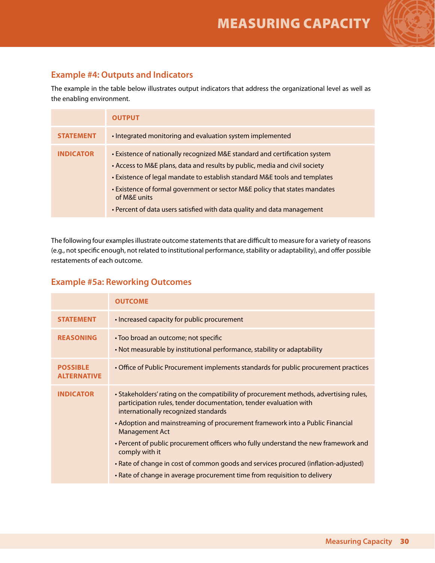

## **Example #4: Outputs and Indicators**

The example in the table below illustrates output indicators that address the organizational level as well as the enabling environment.

|                  | <b>OUTPUT</b>                                                                                                                                                                                                                                                                                                                                                                                                   |
|------------------|-----------------------------------------------------------------------------------------------------------------------------------------------------------------------------------------------------------------------------------------------------------------------------------------------------------------------------------------------------------------------------------------------------------------|
| <b>STATEMENT</b> | • Integrated monitoring and evaluation system implemented                                                                                                                                                                                                                                                                                                                                                       |
| <b>INDICATOR</b> | • Existence of nationally recognized M&E standard and certification system<br>• Access to M&E plans, data and results by public, media and civil society<br>• Existence of legal mandate to establish standard M&E tools and templates<br>• Existence of formal government or sector M&E policy that states mandates<br>of M&E units<br>• Percent of data users satisfied with data quality and data management |

The following four examples illustrate outcome statements that are difficult to measure for a variety of reasons (e.g., not specific enough, not related to institutional performance, stability or adaptability), and offer possible restatements of each outcome.

### **Example #5a: Reworking Outcomes**

|                                       | <b>OUTCOME</b>                                                                                                                                                                                                                                                                                                                                                                                                         |
|---------------------------------------|------------------------------------------------------------------------------------------------------------------------------------------------------------------------------------------------------------------------------------------------------------------------------------------------------------------------------------------------------------------------------------------------------------------------|
| <b>STATEMENT</b>                      | • Increased capacity for public procurement                                                                                                                                                                                                                                                                                                                                                                            |
| <b>REASONING</b>                      | • Too broad an outcome; not specific<br>• Not measurable by institutional performance, stability or adaptability                                                                                                                                                                                                                                                                                                       |
| <b>POSSIBLE</b><br><b>ALTERNATIVE</b> | • Office of Public Procurement implements standards for public procurement practices                                                                                                                                                                                                                                                                                                                                   |
| <b>INDICATOR</b>                      | . Stakeholders' rating on the compatibility of procurement methods, advertising rules,<br>participation rules, tender documentation, tender evaluation with<br>internationally recognized standards<br>• Adoption and mainstreaming of procurement framework into a Public Financial<br><b>Management Act</b><br>• Percent of public procurement officers who fully understand the new framework and<br>comply with it |
|                                       | • Rate of change in cost of common goods and services procured (inflation-adjusted)<br>• Rate of change in average procurement time from requisition to delivery                                                                                                                                                                                                                                                       |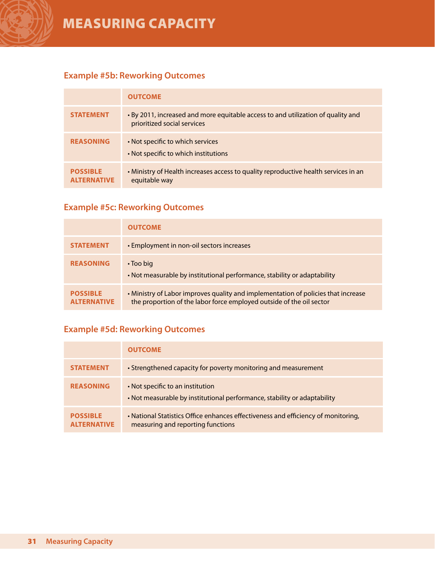## **Example #5b: Reworking Outcomes**

|                                       | <b>OUTCOME</b>                                                                                                  |
|---------------------------------------|-----------------------------------------------------------------------------------------------------------------|
| <b>STATEMENT</b>                      | • By 2011, increased and more equitable access to and utilization of quality and<br>prioritized social services |
| <b>REASONING</b>                      | • Not specific to which services<br>• Not specific to which institutions                                        |
| <b>POSSIBLE</b><br><b>AITERNATIVE</b> | • Ministry of Health increases access to quality reproductive health services in an<br>equitable way            |

## **Example #5c: Reworking Outcomes**

|                                       | <b>OUTCOME</b>                                                                                                                                            |
|---------------------------------------|-----------------------------------------------------------------------------------------------------------------------------------------------------------|
| <b>STATEMENT</b>                      | • Employment in non-oil sectors increases                                                                                                                 |
| <b>REASONING</b>                      | • Too big<br>. Not measurable by institutional performance, stability or adaptability                                                                     |
| <b>POSSIBLE</b><br><b>ALTERNATIVE</b> | • Ministry of Labor improves quality and implementation of policies that increase<br>the proportion of the labor force employed outside of the oil sector |

## **Example #5d: Reworking Outcomes**

|                                       | <b>OUTCOME</b>                                                                                                         |
|---------------------------------------|------------------------------------------------------------------------------------------------------------------------|
| <b>STATEMENT</b>                      | • Strengthened capacity for poverty monitoring and measurement                                                         |
| <b>REASONING</b>                      | • Not specific to an institution<br>• Not measurable by institutional performance, stability or adaptability           |
| <b>POSSIBLE</b><br><b>AITERNATIVE</b> | • National Statistics Office enhances effectiveness and efficiency of monitoring,<br>measuring and reporting functions |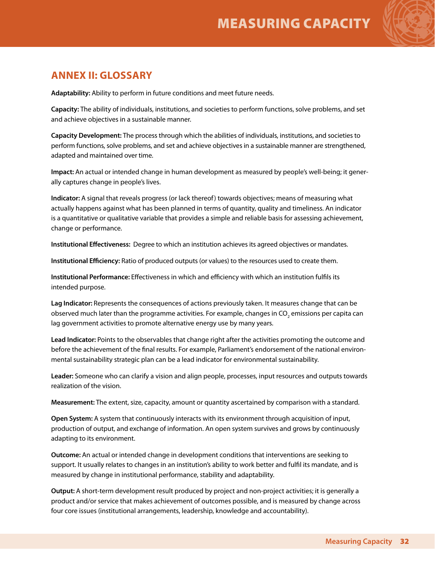

## **ANNEX II: GLOSSARY**

**Adaptability:** Ability to perform in future conditions and meet future needs.

**Capacity:** The ability of individuals, institutions, and societies to perform functions, solve problems, and set and achieve objectives in a sustainable manner.

**Capacity Development:** The process through which the abilities of individuals, institutions, and societies to perform functions, solve problems, and set and achieve objectives in a sustainable manner are strengthened, adapted and maintained over time.

**Impact:** An actual or intended change in human development as measured by people's well-being; it generally captures change in people's lives.

**Indicator:** A signal that reveals progress (or lack thereof) towards objectives; means of measuring what actually happens against what has been planned in terms of quantity, quality and timeliness. An indicator is a quantitative or qualitative variable that provides a simple and reliable basis for assessing achievement, change or performance.

**Institutional Effectiveness:** Degree to which an institution achieves its agreed objectives or mandates.

**Institutional Efficiency:** Ratio of produced outputs (or values) to the resources used to create them.

**Institutional Performance:** Effectiveness in which and efficiency with which an institution fulfils its intended purpose.

**Lag Indicator:** Represents the consequences of actions previously taken. It measures change that can be observed much later than the programme activities. For example, changes in CO<sub>2</sub> emissions per capita can lag government activities to promote alternative energy use by many years.

**Lead Indicator:** Points to the observables that change right after the activities promoting the outcome and before the achievement of the final results. For example, Parliament's endorsement of the national environmental sustainability strategic plan can be a lead indicator for environmental sustainability.

**Leader:** Someone who can clarify a vision and align people, processes, input resources and outputs towards realization of the vision.

**Measurement:** The extent, size, capacity, amount or quantity ascertained by comparison with a standard.

**Open System:** A system that continuously interacts with its environment through acquisition of input, production of output, and exchange of information. An open system survives and grows by continuously adapting to its environment.

**Outcome:** An actual or intended change in development conditions that interventions are seeking to support. It usually relates to changes in an institution's ability to work better and fulfil its mandate, and is measured by change in institutional performance, stability and adaptability.

**Output:** A short-term development result produced by project and non-project activities; it is generally a product and/or service that makes achievement of outcomes possible, and is measured by change across four core issues (institutional arrangements, leadership, knowledge and accountability).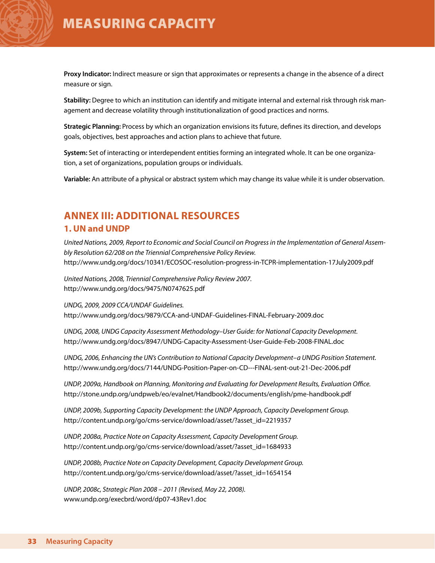**Proxy Indicator:** Indirect measure or sign that approximates or represents a change in the absence of a direct measure or sign.

**Stability:** Degree to which an institution can identify and mitigate internal and external risk through risk management and decrease volatility through institutionalization of good practices and norms.

**Strategic Planning:** Process by which an organization envisions its future, defines its direction, and develops goals, objectives, best approaches and action plans to achieve that future.

**System:** Set of interacting or interdependent entities forming an integrated whole. It can be one organization, a set of organizations, population groups or individuals.

**Variable:** An attribute of a physical or abstract system which may change its value while it is under observation.

### **ANNEX III: ADDITIONAL RESOURCES 1. UN and UNDP**

*United Nations, 2009, Report to Economic and Social Council on Progress in the Implementation of General Assembly Resolution 62/208 on the Triennial Comprehensive Policy Review.* http://www.undg.org/docs/10341/ECOSOC-resolution-progress-in-TCPR-implementation-17July2009.pdf

*United Nations, 2008, Triennial Comprehensive Policy Review 2007.* http://www.undg.org/docs/9475/N0747625.pdf

*UNDG, 2009, 2009 CCA/UNDAF Guidelines.*  http://www.undg.org/docs/9879/CCA-and-UNDAF-Guidelines-FINAL-February-2009.doc

*UNDG, 2008, UNDG Capacity Assessment Methodology–User Guide: for National Capacity Development.*  http://www.undg.org/docs/8947/UNDG-Capacity-Assessment-User-Guide-Feb-2008-FINAL.doc

*UNDG, 2006, Enhancing the UN's Contribution to National Capacity Development–a UNDG Position Statement.* http://www.undg.org/docs/7144/UNDG-Position-Paper-on-CD---FINAL-sent-out-21-Dec-2006.pdf

*UNDP, 2009a, Handbook on Planning, Monitoring and Evaluating for Development Results, Evaluation Office.* http://stone.undp.org/undpweb/eo/evalnet/Handbook2/documents/english/pme-handbook.pdf

*UNDP, 2009b, Supporting Capacity Development: the UNDP Approach, Capacity Development Group.* http://content.undp.org/go/cms-service/download/asset/?asset\_id=2219357

*UNDP, 2008a, Practice Note on Capacity Assessment, Capacity Development Group.*  http://content.undp.org/go/cms-service/download/asset/?asset\_id=1684933

*UNDP, 2008b, Practice Note on Capacity Development, Capacity Development Group.* http://content.undp.org/go/cms-service/download/asset/?asset\_id=1654154

*UNDP, 2008c, Strategic Plan 2008 – 2011 (Revised, May 22, 2008).*  www.undp.org/execbrd/word/dp07-43Rev1.doc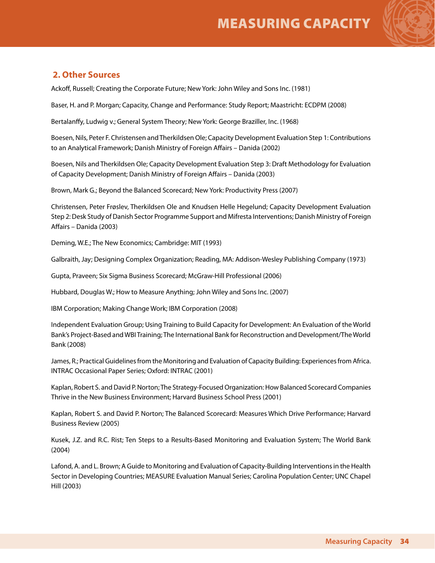

### **2. Other Sources**

Ackoff, Russell; Creating the Corporate Future; New York: John Wiley and Sons Inc. (1981)

Baser, H. and P. Morgan; Capacity, Change and Performance: Study Report; Maastricht: ECDPM (2008)

Bertalanffy, Ludwig v.; General System Theory; New York: George Braziller, Inc. (1968)

Boesen, Nils, Peter F. Christensen and Therkildsen Ole; Capacity Development Evaluation Step 1: Contributions to an Analytical Framework; Danish Ministry of Foreign Affairs – Danida (2002)

Boesen, Nils and Therkildsen Ole; Capacity Development Evaluation Step 3: Draft Methodology for Evaluation of Capacity Development; Danish Ministry of Foreign Affairs – Danida (2003)

Brown, Mark G.; Beyond the Balanced Scorecard; New York: Productivity Press (2007)

Christensen, Peter Frøslev, Therkildsen Ole and Knudsen Helle Hegelund; Capacity Development Evaluation Step 2: Desk Study of Danish Sector Programme Support and Mifresta Interventions; Danish Ministry of Foreign Affairs – Danida (2003)

Deming, W.E.; The New Economics; Cambridge: MIT (1993)

Galbraith, Jay; Designing Complex Organization; Reading, MA: Addison-Wesley Publishing Company (1973)

Gupta, Praveen; Six Sigma Business Scorecard; McGraw-Hill Professional (2006)

Hubbard, Douglas W.; How to Measure Anything; John Wiley and Sons Inc. (2007)

IBM Corporation; Making Change Work; IBM Corporation (2008)

Independent Evaluation Group; Using Training to Build Capacity for Development: An Evaluation of the World Bank's Project-Based and WBI Training; The International Bank for Reconstruction and Development/The World Bank (2008)

James, R.; Practical Guidelines from the Monitoring and Evaluation of Capacity Building: Experiences from Africa. INTRAC Occasional Paper Series; Oxford: INTRAC (2001)

Kaplan, Robert S. and David P. Norton; The Strategy-Focused Organization: How Balanced Scorecard Companies Thrive in the New Business Environment; Harvard Business School Press (2001)

Kaplan, Robert S. and David P. Norton; The Balanced Scorecard: Measures Which Drive Performance; Harvard Business Review (2005)

Kusek, J.Z. and R.C. Rist; Ten Steps to a Results-Based Monitoring and Evaluation System; The World Bank (2004)

Lafond, A. and L. Brown; A Guide to Monitoring and Evaluation of Capacity-Building Interventions in the Health Sector in Developing Countries; MEASURE Evaluation Manual Series; Carolina Population Center; UNC Chapel Hill (2003)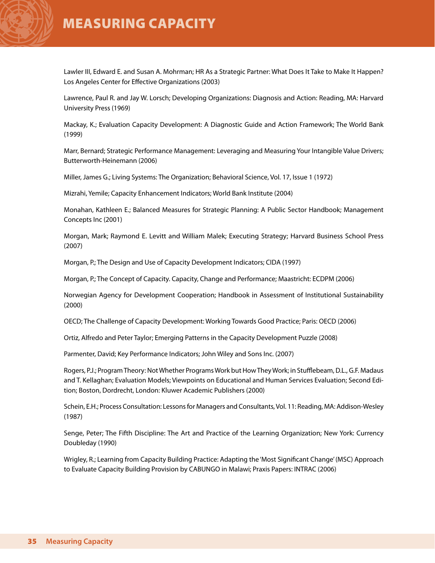Lawler III, Edward E. and Susan A. Mohrman; HR As a Strategic Partner: What Does It Take to Make It Happen? Los Angeles Center for Effective Organizations (2003)

Lawrence, Paul R. and Jay W. Lorsch; Developing Organizations: Diagnosis and Action: Reading, MA: Harvard University Press (1969)

Mackay, K.; Evaluation Capacity Development: A Diagnostic Guide and Action Framework; The World Bank (1999)

Marr, Bernard; Strategic Performance Management: Leveraging and Measuring Your Intangible Value Drivers; Butterworth-Heinemann (2006)

Miller, James G.; Living Systems: The Organization; Behavioral Science, Vol. 17, Issue 1 (1972)

Mizrahi, Yemile; Capacity Enhancement Indicators; World Bank Institute (2004)

Monahan, Kathleen E.; Balanced Measures for Strategic Planning: A Public Sector Handbook; Management Concepts Inc (2001)

Morgan, Mark; Raymond E. Levitt and William Malek; Executing Strategy; Harvard Business School Press (2007)

Morgan, P.; The Design and Use of Capacity Development Indicators; CIDA (1997)

Morgan, P.; The Concept of Capacity. Capacity, Change and Performance; Maastricht: ECDPM (2006)

Norwegian Agency for Development Cooperation; Handbook in Assessment of Institutional Sustainability (2000)

OECD; The Challenge of Capacity Development: Working Towards Good Practice; Paris: OECD (2006)

Ortiz, Alfredo and Peter Taylor; Emerging Patterns in the Capacity Development Puzzle (2008)

Parmenter, David; Key Performance Indicators; John Wiley and Sons Inc. (2007)

Rogers, P.J.; Program Theory: Not Whether Programs Work but How They Work; in Stufflebeam, D.L., G.F. Madaus and T. Kellaghan; Evaluation Models; Viewpoints on Educational and Human Services Evaluation; Second Edition; Boston, Dordrecht, London: Kluwer Academic Publishers (2000)

Schein, E.H.; Process Consultation: Lessons for Managers and Consultants, Vol. 11: Reading, MA: Addison-Wesley (1987)

Senge, Peter; The Fifth Discipline: The Art and Practice of the Learning Organization; New York: Currency Doubleday (1990)

Wrigley, R.; Learning from Capacity Building Practice: Adapting the 'Most Significant Change' (MSC) Approach to Evaluate Capacity Building Provision by CABUNGO in Malawi; Praxis Papers: INTRAC (2006)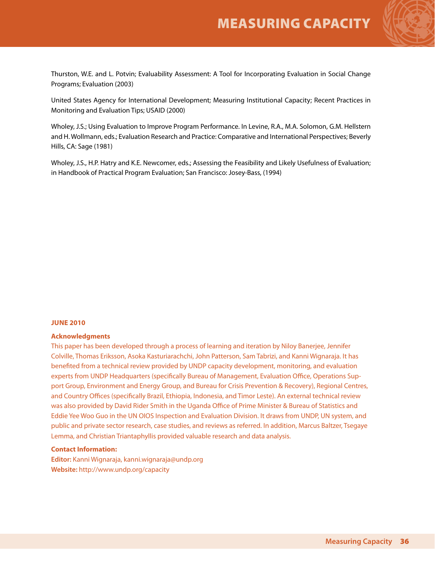

Thurston, W.E. and L. Potvin; Evaluability Assessment: A Tool for Incorporating Evaluation in Social Change Programs; Evaluation (2003)

United States Agency for International Development; Measuring Institutional Capacity; Recent Practices in Monitoring and Evaluation Tips; USAID (2000)

Wholey, J.S.; Using Evaluation to Improve Program Performance. In Levine, R.A., M.A. Solomon, G.M. Hellstern and H. Wollmann, eds.; Evaluation Research and Practice: Comparative and International Perspectives; Beverly Hills, CA: Sage (1981)

Wholey, J.S., H.P. Hatry and K.E. Newcomer, eds.; Assessing the Feasibility and Likely Usefulness of Evaluation; in Handbook of Practical Program Evaluation; San Francisco: Josey-Bass, (1994)

#### **June 2010**

#### **Acknowledgments**

This paper has been developed through a process of learning and iteration by Niloy Banerjee, Jennifer Colville, Thomas Eriksson, Asoka Kasturiarachchi, John Patterson, Sam Tabrizi, and Kanni Wignaraja. It has benefited from a technical review provided by UNDP capacity development, monitoring, and evaluation experts from UNDP Headquarters (specifically Bureau of Management, Evaluation Office, Operations Support Group, Environment and Energy Group, and Bureau for Crisis Prevention & Recovery), Regional Centres, and Country Offices (specifically Brazil, Ethiopia, Indonesia, and Timor Leste). An external technical review was also provided by David Rider Smith in the Uganda Office of Prime Minister & Bureau of Statistics and Eddie Yee Woo Guo in the UN OIOS Inspection and Evaluation Division. It draws from UNDP, UN system, and public and private sector research, case studies, and reviews as referred. In addition, Marcus Baltzer, Tsegaye Lemma, and Christian Triantaphyllis provided valuable research and data analysis.

#### **Contact Information:**

**Editor:** Kanni Wignaraja, kanni.wignaraja@undp.org **Website:** http://www.undp.org/capacity